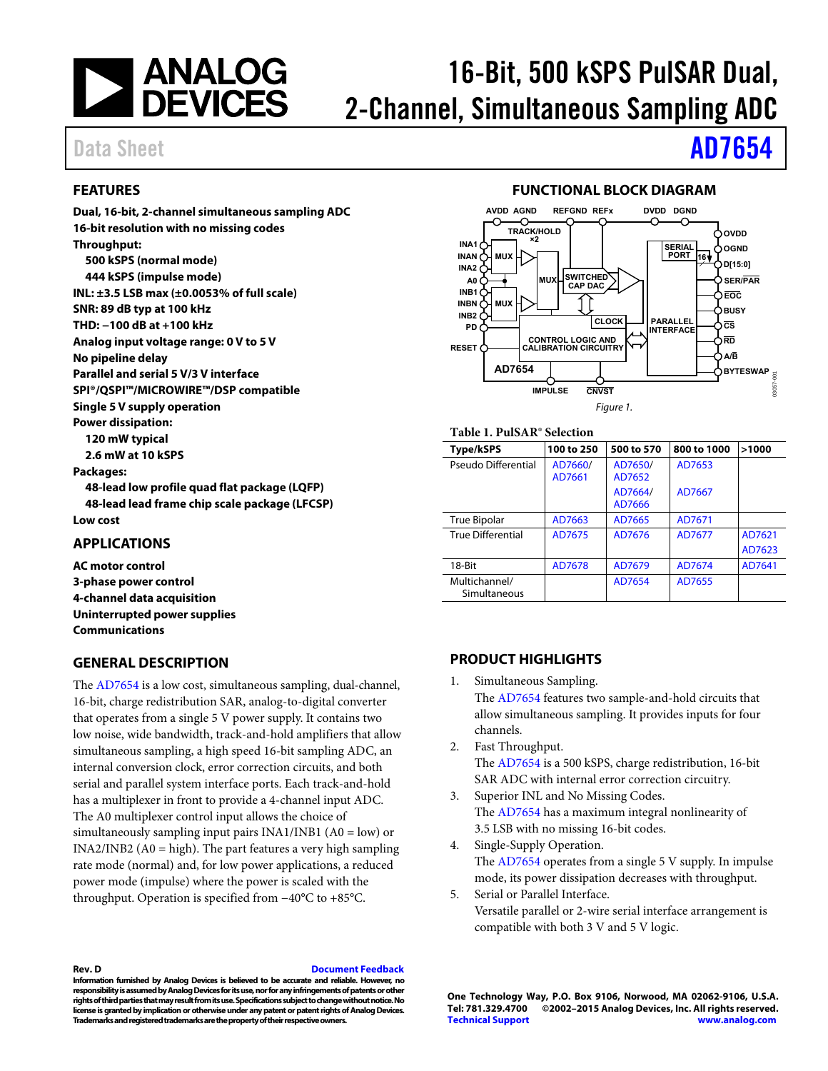

# 16-Bit, 500 kSPS PulSAR Dual, 2-Channel, Simultaneous Sampling ADC

# Data Sheet **[AD7654](http://analog.com/ad7654?doc=ad7654.pdf)**

# <span id="page-0-0"></span>**FEATURES**

**Dual, 16-bit, 2-channel simultaneous sampling ADC 16-bit resolution with no missing codes Throughput: 500 kSPS (normal mode) 444 kSPS (impulse mode) INL: ±3.5 LSB max (±0.0053% of full scale) SNR: 89 dB typ at 100 kHz THD: −100 dB at +100 kHz Analog input voltage range: 0 V to 5 V No pipeline delay Parallel and serial 5 V/3 V interface SPI®/QSPI™/MICROWIRE™/DSP compatible Single 5 V supply operation Power dissipation: 120 mW typical 2.6 mW at 10 kSPS Packages: 48-lead low profile quad flat package (LQFP) 48-lead lead frame chip scale package (LFCSP) Low cost APPLICATIONS** 

<span id="page-0-1"></span>**AC motor control 3-phase power control 4-channel data acquisition Uninterrupted power supplies Communications** 

## <span id="page-0-2"></span>**GENERAL DESCRIPTION**

The [AD7654 i](http://analog.com/ad7654?doc=ad7654.pdf)s a low cost, simultaneous sampling, dual-channel, 16-bit, charge redistribution SAR, analog-to-digital converter that operates from a single 5 V power supply. It contains two low noise, wide bandwidth, track-and-hold amplifiers that allow simultaneous sampling, a high speed 16-bit sampling ADC, an internal conversion clock, error correction circuits, and both serial and parallel system interface ports. Each track-and-hold has a multiplexer in front to provide a 4-channel input ADC. The A0 multiplexer control input allows the choice of simultaneously sampling input pairs INA1/INB1 (A0 = low) or INA2/INB2 (A0 = high). The part features a very high sampling rate mode (normal) and, for low power applications, a reduced power mode (impulse) where the power is scaled with the throughput. Operation is specified from −40°C to +85°C.

# **FUNCTIONAL BLOCK DIAGRAM**

<span id="page-0-3"></span>

### **Table 1. PulSAR® Selection**

| <b>Type/kSPS</b>              | 100 to 250        | 500 to 570        | 800 to 1000 | >1000  |  |  |  |
|-------------------------------|-------------------|-------------------|-------------|--------|--|--|--|
| Pseudo Differential           | AD7660/<br>AD7661 | AD7650/<br>AD7652 | AD7653      |        |  |  |  |
|                               |                   | AD7664/<br>AD7666 | AD7667      |        |  |  |  |
| True Bipolar                  | AD7663            | AD7665            | AD7671      |        |  |  |  |
| <b>True Differential</b>      | AD7675            | AD7676            | AD7677      | AD7621 |  |  |  |
|                               |                   |                   |             | AD7623 |  |  |  |
| 18-Bit                        | AD7678            | AD7679            | AD7674      | AD7641 |  |  |  |
| Multichannel/<br>Simultaneous |                   | AD7654            | AD7655      |        |  |  |  |

## <span id="page-0-4"></span>**PRODUCT HIGHLIGHTS**

1. Simultaneous Sampling.

The [AD7654 f](http://analog.com/ad7654?doc=ad7654.pdf)eatures two sample-and-hold circuits that allow simultaneous sampling. It provides inputs for four channels.

- 2. Fast Throughput. The [AD7654 i](http://analog.com/ad7654?doc=ad7654.pdf)s a 500 kSPS, charge redistribution, 16-bit SAR ADC with internal error correction circuitry.
- 3. Superior INL and No Missing Codes. The [AD7654 h](http://analog.com/ad7654?doc=ad7654.pdf)as a maximum integral nonlinearity of 3.5 LSB with no missing 16-bit codes.
- 4. Single-Supply Operation. The [AD7654 o](http://analog.com/ad7654?doc=ad7654.pdf)perates from a single 5 V supply. In impulse mode, its power dissipation decreases with throughput.
- 5. Serial or Parallel Interface. Versatile parallel or 2-wire serial interface arrangement is compatible with both 3 V and 5 V logic.

**Rev. D [Document Feedback](https://form.analog.com/Form_Pages/feedback/documentfeedback.aspx?doc=AD7654.pdf&product=AD7654&rev=D)** 

**Information furnished by Analog Devices is believed to be accurate and reliable. However, no responsibility is assumed by Analog Devices for its use, nor for any infringements of patents or other rights of third parties that may result from its use. Specifications subject to change without notice. No license is granted by implication or otherwise under any patent or patent rights of Analog Devices. Trademarks and registered trademarks are the property of their respective owners.**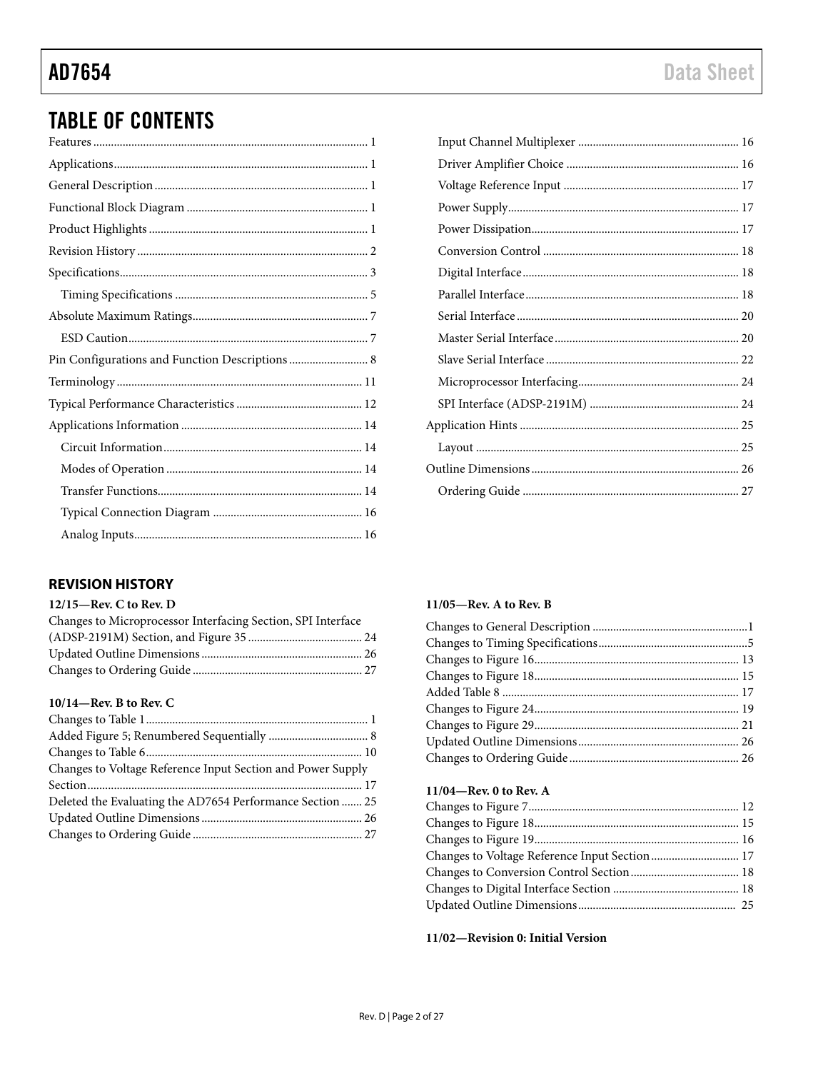# **TABLE OF CONTENTS**

| Pin Configurations and Function Descriptions  8 |
|-------------------------------------------------|
|                                                 |
|                                                 |
|                                                 |
|                                                 |
|                                                 |
|                                                 |
|                                                 |
|                                                 |

# <span id="page-1-0"></span>**REVISION HISTORY**

### 12/15-Rev. C to Rev. D

| Changes to Microprocessor Interfacing Section, SPI Interface |  |
|--------------------------------------------------------------|--|
|                                                              |  |
|                                                              |  |
|                                                              |  |

## $10/14$ —Rev. B to Rev. C

### 11/05-Rev. A to Rev. B

# 11/04-Rev. 0 to Rev. A

| Changes to Voltage Reference Input Section  17 |  |
|------------------------------------------------|--|
|                                                |  |
|                                                |  |
|                                                |  |
|                                                |  |

## 11/02-Revision 0: Initial Version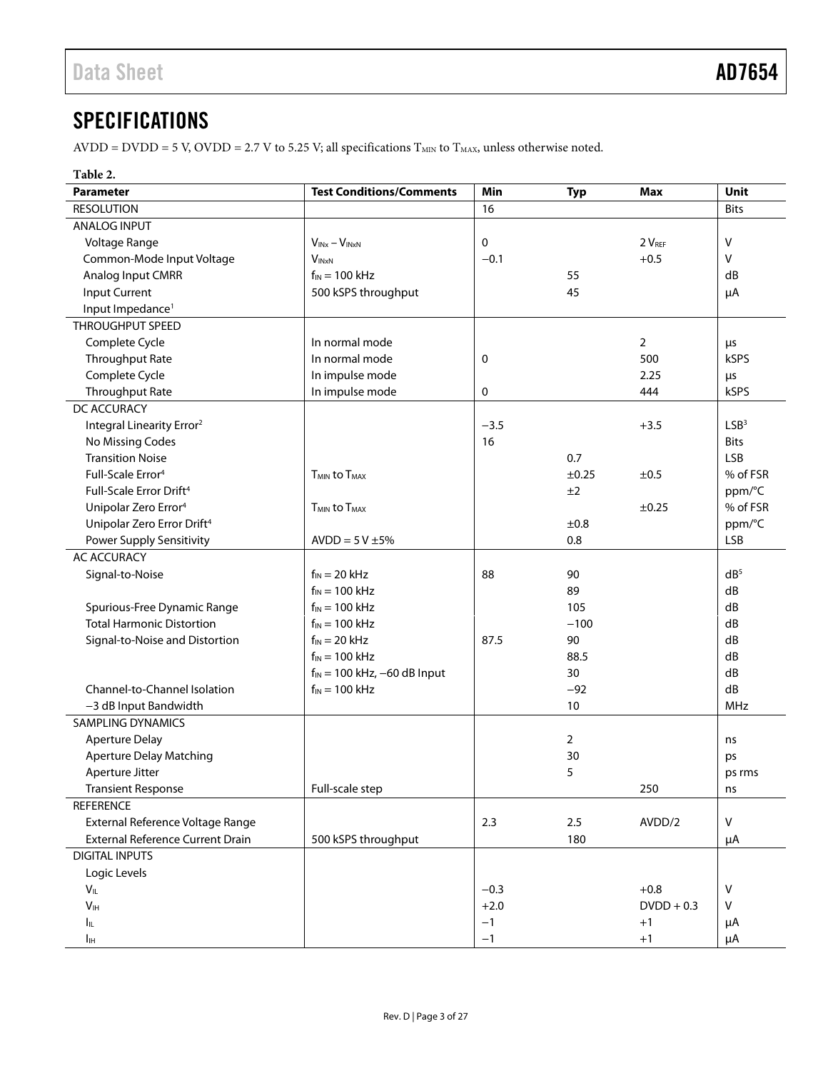# <span id="page-2-0"></span>**SPECIFICATIONS**

AVDD = DVDD = 5 V, OVDD = 2.7 V to 5.25 V; all specifications  $T_{MIN}$  to  $T_{MAX}$ , unless otherwise noted.

## **Table 2.**

| <b>Parameter</b>                        | <b>Test Conditions/Comments</b>      | Min    | <b>Typ</b>     | Max            | Unit             |
|-----------------------------------------|--------------------------------------|--------|----------------|----------------|------------------|
| <b>RESOLUTION</b>                       |                                      | 16     |                |                | <b>Bits</b>      |
| <b>ANALOG INPUT</b>                     |                                      |        |                |                |                  |
| Voltage Range                           | $V_{INx} - V_{INxN}$                 | 0      |                | 2 VREF         | V                |
| Common-Mode Input Voltage               | $V_{INxN}$                           | $-0.1$ |                | $+0.5$         | v                |
| Analog Input CMRR                       | $f_{IN}$ = 100 kHz                   |        | 55             |                | dB               |
| <b>Input Current</b>                    | 500 kSPS throughput                  |        | 45             |                | μA               |
| Input Impedance <sup>1</sup>            |                                      |        |                |                |                  |
| THROUGHPUT SPEED                        |                                      |        |                |                |                  |
| Complete Cycle                          | In normal mode                       |        |                | $\overline{2}$ | μs               |
| <b>Throughput Rate</b>                  | In normal mode                       | 0      |                | 500            | <b>kSPS</b>      |
| Complete Cycle                          | In impulse mode                      |        |                | 2.25           | μs               |
| <b>Throughput Rate</b>                  | In impulse mode                      | 0      |                | 444            | kSPS             |
| DC ACCURACY                             |                                      |        |                |                |                  |
| Integral Linearity Error <sup>2</sup>   |                                      | $-3.5$ |                | $+3.5$         | LSB <sup>3</sup> |
| No Missing Codes                        |                                      | 16     |                |                | <b>Bits</b>      |
| <b>Transition Noise</b>                 |                                      |        | 0.7            |                | <b>LSB</b>       |
| Full-Scale Error <sup>4</sup>           | $T_{MIN}$ to $T_{MAX}$               |        | $\pm 0.25$     | ±0.5           | % of FSR         |
| Full-Scale Error Drift <sup>4</sup>     |                                      |        | ±2             |                | ppm/°C           |
| Unipolar Zero Error <sup>4</sup>        | T <sub>MIN</sub> to T <sub>MAX</sub> |        |                | ±0.25          | % of FSR         |
| Unipolar Zero Error Drift <sup>4</sup>  |                                      |        | ±0.8           |                | ppm/°C           |
| Power Supply Sensitivity                | $AVDD = 5 V ±5%$                     |        | 0.8            |                | <b>LSB</b>       |
| <b>AC ACCURACY</b>                      |                                      |        |                |                |                  |
| Signal-to-Noise                         | $f_{IN} = 20$ kHz                    | 88     | 90             |                | dB <sup>5</sup>  |
|                                         | $f_{IN}$ = 100 kHz                   |        | 89             |                | dB               |
| Spurious-Free Dynamic Range             | $f_{IN}$ = 100 kHz                   |        | 105            |                | dB               |
| <b>Total Harmonic Distortion</b>        | $f_{IN}$ = 100 kHz                   |        | $-100$         |                | dB               |
| Signal-to-Noise and Distortion          | $f_{IN} = 20$ kHz                    | 87.5   | 90             |                | dB               |
|                                         | $f_{IN}$ = 100 kHz                   |        | 88.5           |                | dB               |
|                                         | $f_{IN}$ = 100 kHz, -60 dB Input     |        | 30             |                | dB               |
| Channel-to-Channel Isolation            | $f_{IN}$ = 100 kHz                   |        | $-92$          |                | dB               |
| -3 dB Input Bandwidth                   |                                      |        | 10             |                | <b>MHz</b>       |
| <b>SAMPLING DYNAMICS</b>                |                                      |        |                |                |                  |
| <b>Aperture Delay</b>                   |                                      |        | $\overline{2}$ |                | ns               |
| <b>Aperture Delay Matching</b>          |                                      |        | 30             |                | ps               |
| Aperture Jitter                         |                                      |        | 5              |                | ps rms           |
| <b>Transient Response</b>               | Full-scale step                      |        |                | 250            | ns               |
| <b>REFERENCE</b>                        |                                      |        |                |                |                  |
| External Reference Voltage Range        |                                      | 2.3    | 2.5            | AVDD/2         | $\mathsf{V}$     |
| <b>External Reference Current Drain</b> | 500 kSPS throughput                  |        | 180            |                | μA               |
| <b>DIGITAL INPUTS</b>                   |                                      |        |                |                |                  |
| Logic Levels                            |                                      |        |                |                |                  |
| $V_{IL}$                                |                                      | $-0.3$ |                | $+0.8$         | v                |
| $\mathsf{V}_{\mathsf{IH}}$              |                                      | $+2.0$ |                | $DVDD + 0.3$   | v                |
| Iщ.                                     |                                      | $-1$   |                | $+1$           | μA               |
| $I_{\mathbb{H}}$                        |                                      | $-1$   |                | $+1$           | μA               |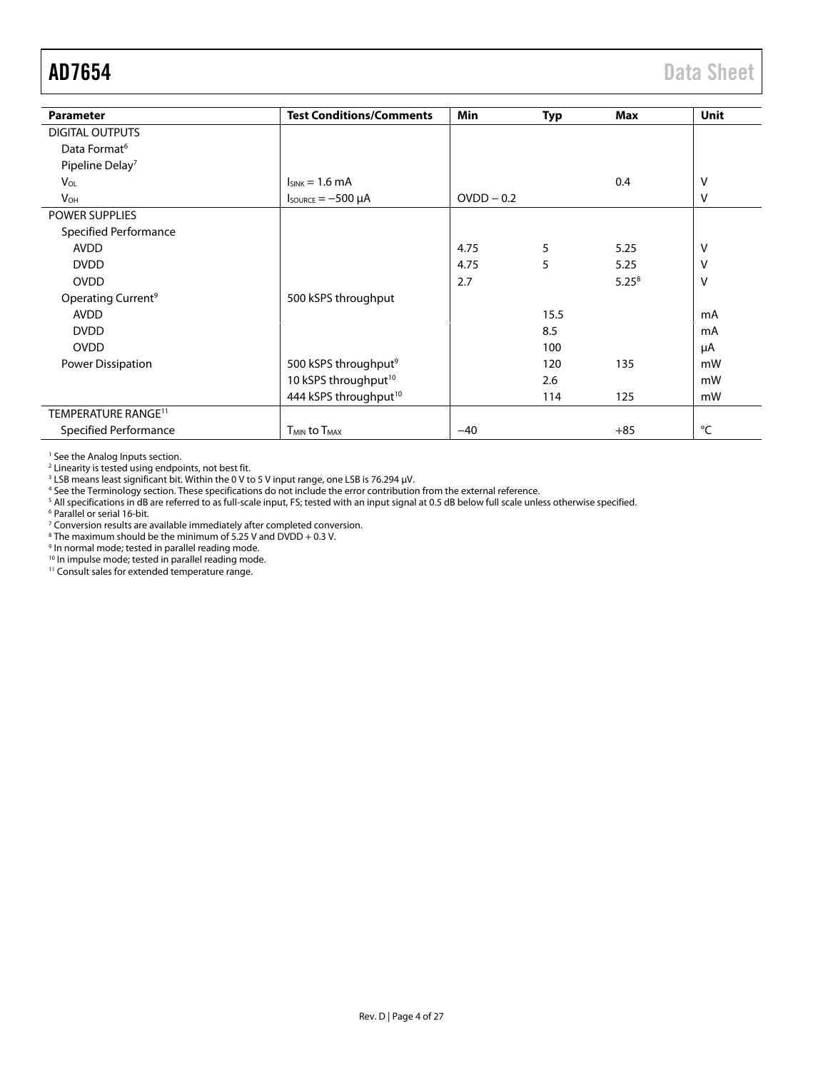<span id="page-3-0"></span>

| <b>Parameter</b>                | <b>Test Conditions/Comments</b>            | Min          | <b>Typ</b> | Max        | Unit |
|---------------------------------|--------------------------------------------|--------------|------------|------------|------|
| <b>DIGITAL OUTPUTS</b>          |                                            |              |            |            |      |
| Data Format <sup>6</sup>        |                                            |              |            |            |      |
| Pipeline Delay <sup>7</sup>     |                                            |              |            |            |      |
| <b>V<sub>OL</sub></b>           | $I_{SINK} = 1.6$ mA                        |              |            | 0.4        | v    |
| <b>V<sub>OH</sub></b>           | $I_{\text{SOWRCE}} = -500 \mu A$           | $OVDD - 0.2$ |            |            | V    |
| POWER SUPPLIES                  |                                            |              |            |            |      |
| <b>Specified Performance</b>    |                                            |              |            |            |      |
| <b>AVDD</b>                     |                                            | 4.75         | 5          | 5.25       | v    |
| <b>DVDD</b>                     |                                            | 4.75         | 5          | 5.25       | ۷    |
| <b>OVDD</b>                     |                                            | 2.7          |            | $5.25^{8}$ | v    |
| Operating Current <sup>9</sup>  | 500 kSPS throughput                        |              |            |            |      |
| <b>AVDD</b>                     |                                            |              | 15.5       |            | mA   |
| <b>DVDD</b>                     |                                            |              | 8.5        |            | mA   |
| <b>OVDD</b>                     |                                            |              | 100        |            | μA   |
| Power Dissipation               | 500 kSPS throughput <sup>9</sup>           |              | 120        | 135        | mW   |
|                                 | 10 kSPS throughput <sup>10</sup>           |              | 2.6        |            | mW   |
|                                 | 444 kSPS throughput <sup>10</sup>          |              | 114        | 125        | mW   |
| TEMPERATURE RANGE <sup>11</sup> |                                            |              |            |            |      |
| Specified Performance           | <b>T<sub>MIN</sub></b> to T <sub>MAX</sub> | $-40$        |            | $+85$      | °C   |

<sup>1</sup> See th[e Analog Inputs s](#page-15-1)ection.

<sup>2</sup> Linearity is tested using endpoints, not best fit.<br><sup>3</sup> LSB means least significant bit. Within the 0 V to 5 V input range, one LSB is 76.294 μV.<br><sup>4</sup> See th[e Terminology s](#page-10-0)ection. These specifications do not include the

<sup>5</sup> All specifications in dB are referred to as full-scale input, FS; tested with an input signal at 0.5 dB below full scale unless otherwise specified.<br><sup>6 Parallel or serial 16-bit</sup>

<sup>6</sup> Parallel or serial 16-bit.

<sup>7</sup> Conversion results are available immediately after completed conversion.<br><sup>8</sup> The maximum should be the minimum of 5.25 V and DVDD + 0.3 V.<br><sup>9</sup> In normal mode; tested in parallel reading mode.

10 In impulse mode; tested in parallel reading mode.

<sup>11</sup> Consult sales for extended temperature range.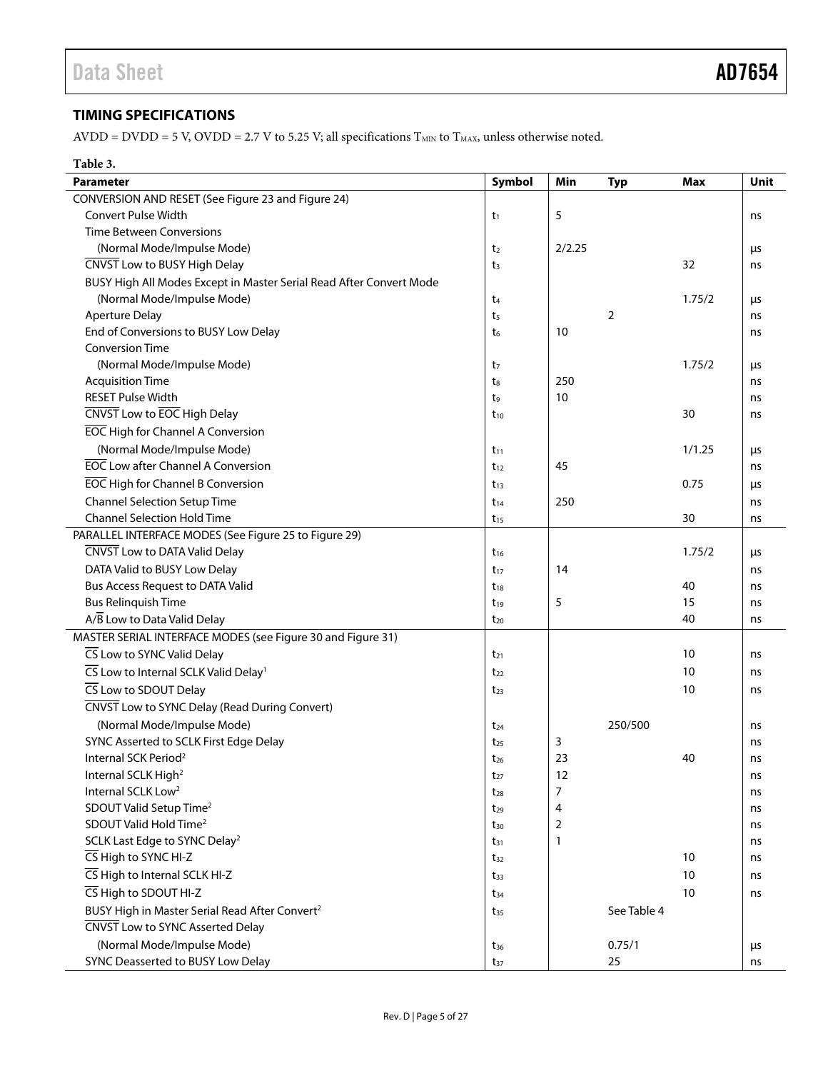# <span id="page-4-0"></span>**TIMING SPECIFICATIONS**

AVDD = DVDD = 5 V, OVDD = 2.7 V to 5.25 V; all specifications  $T_{MIN}$  to  $T_{MAX}$ , unless otherwise noted.

## **Table 3.**

| CONVERSION AND RESET (See Figure 23 and Figure 24)<br><b>Convert Pulse Width</b><br>5<br>$t_1$<br>ns<br><b>Time Between Conversions</b><br>(Normal Mode/Impulse Mode)<br>2/2.25<br>t <sub>2</sub><br>μs<br>CNVST Low to BUSY High Delay<br>32<br>t <sub>3</sub><br>ns<br>BUSY High All Modes Except in Master Serial Read After Convert Mode |
|----------------------------------------------------------------------------------------------------------------------------------------------------------------------------------------------------------------------------------------------------------------------------------------------------------------------------------------------|
|                                                                                                                                                                                                                                                                                                                                              |
|                                                                                                                                                                                                                                                                                                                                              |
|                                                                                                                                                                                                                                                                                                                                              |
|                                                                                                                                                                                                                                                                                                                                              |
|                                                                                                                                                                                                                                                                                                                                              |
|                                                                                                                                                                                                                                                                                                                                              |
| (Normal Mode/Impulse Mode)<br>1.75/2<br>t <sub>4</sub><br>μs                                                                                                                                                                                                                                                                                 |
| <b>Aperture Delay</b><br>2<br>t5<br>ns                                                                                                                                                                                                                                                                                                       |
| End of Conversions to BUSY Low Delay<br>10<br>t <sub>6</sub><br>ns                                                                                                                                                                                                                                                                           |
| <b>Conversion Time</b>                                                                                                                                                                                                                                                                                                                       |
| (Normal Mode/Impulse Mode)<br>1.75/2<br>t7<br>μs                                                                                                                                                                                                                                                                                             |
| <b>Acquisition Time</b><br>250<br>t.<br>ns                                                                                                                                                                                                                                                                                                   |
| <b>RESET Pulse Width</b><br>10<br>t9<br>ns                                                                                                                                                                                                                                                                                                   |
| CNVST Low to EOC High Delay<br>30<br>ns<br>$t_{10}$                                                                                                                                                                                                                                                                                          |
| <b>EOC</b> High for Channel A Conversion                                                                                                                                                                                                                                                                                                     |
| (Normal Mode/Impulse Mode)<br>1/1.25<br>$t_{11}$<br>μs                                                                                                                                                                                                                                                                                       |
| <b>EOC</b> Low after Channel A Conversion<br>45<br>$t_{12}$<br>ns                                                                                                                                                                                                                                                                            |
| <b>EOC</b> High for Channel B Conversion<br>0.75<br>$t_{13}$<br>μs                                                                                                                                                                                                                                                                           |
| <b>Channel Selection Setup Time</b><br>250<br>$t_{14}$<br>ns                                                                                                                                                                                                                                                                                 |
| <b>Channel Selection Hold Time</b><br>30<br>$t_{15}$<br>ns                                                                                                                                                                                                                                                                                   |
| PARALLEL INTERFACE MODES (See Figure 25 to Figure 29)                                                                                                                                                                                                                                                                                        |
| CNVST Low to DATA Valid Delay<br>1.75/2<br>$t_{16}$<br>μs                                                                                                                                                                                                                                                                                    |
| DATA Valid to BUSY Low Delay<br>14<br>$t_{17}$<br>ns                                                                                                                                                                                                                                                                                         |
| Bus Access Request to DATA Valid<br>40<br>$t_{18}$<br>ns                                                                                                                                                                                                                                                                                     |
| <b>Bus Relinquish Time</b><br>5<br>15<br>$t_{19}$<br>ns                                                                                                                                                                                                                                                                                      |
| A/B Low to Data Valid Delay<br>40<br>$t_{20}$<br>ns                                                                                                                                                                                                                                                                                          |
| MASTER SERIAL INTERFACE MODES (see Figure 30 and Figure 31)                                                                                                                                                                                                                                                                                  |
| CS Low to SYNC Valid Delay<br>10<br>$t_{21}$<br>ns                                                                                                                                                                                                                                                                                           |
| CS Low to Internal SCLK Valid Delay <sup>1</sup><br>10<br>$t_{22}$<br>ns                                                                                                                                                                                                                                                                     |
| CS Low to SDOUT Delay<br>10<br>ns<br>$t_{23}$                                                                                                                                                                                                                                                                                                |
| CNVST Low to SYNC Delay (Read During Convert)                                                                                                                                                                                                                                                                                                |
| (Normal Mode/Impulse Mode)<br>250/500<br>$t_{24}$<br>ns                                                                                                                                                                                                                                                                                      |
| SYNC Asserted to SCLK First Edge Delay<br>3<br>$t_{25}$<br>ns                                                                                                                                                                                                                                                                                |
| Internal SCK Period <sup>2</sup><br>23<br>40<br>$t_{26}$<br>ns                                                                                                                                                                                                                                                                               |
| 12<br>Internal SCLK High <sup>2</sup><br>$t_{27}$<br>ns                                                                                                                                                                                                                                                                                      |
| Internal SCLK Low <sup>2</sup><br>7<br>$t_{28}$<br>ns                                                                                                                                                                                                                                                                                        |
| SDOUT Valid Setup Time <sup>2</sup><br>4<br>$t_{29}$<br>ns                                                                                                                                                                                                                                                                                   |
| SDOUT Valid Hold Time <sup>2</sup><br>2<br>ns<br>$t_{30}$                                                                                                                                                                                                                                                                                    |
| SCLK Last Edge to SYNC Delay <sup>2</sup><br>1<br>ns<br>$t_{31}$                                                                                                                                                                                                                                                                             |
| CS High to SYNC HI-Z<br>10<br>ns<br>$t_{32}$                                                                                                                                                                                                                                                                                                 |
| CS High to Internal SCLK HI-Z<br>10<br>ns<br>$t_{33}$                                                                                                                                                                                                                                                                                        |
| CS High to SDOUT HI-Z<br>10<br>ns<br>$t_{34}$                                                                                                                                                                                                                                                                                                |
| BUSY High in Master Serial Read After Convert <sup>2</sup><br>See Table 4<br>$t_{35}$                                                                                                                                                                                                                                                        |
| CNVST Low to SYNC Asserted Delay                                                                                                                                                                                                                                                                                                             |
| (Normal Mode/Impulse Mode)<br>0.75/1<br>$t_{36}$<br>μs                                                                                                                                                                                                                                                                                       |
| SYNC Deasserted to BUSY Low Delay<br>25<br>ns<br>$t_{37}$                                                                                                                                                                                                                                                                                    |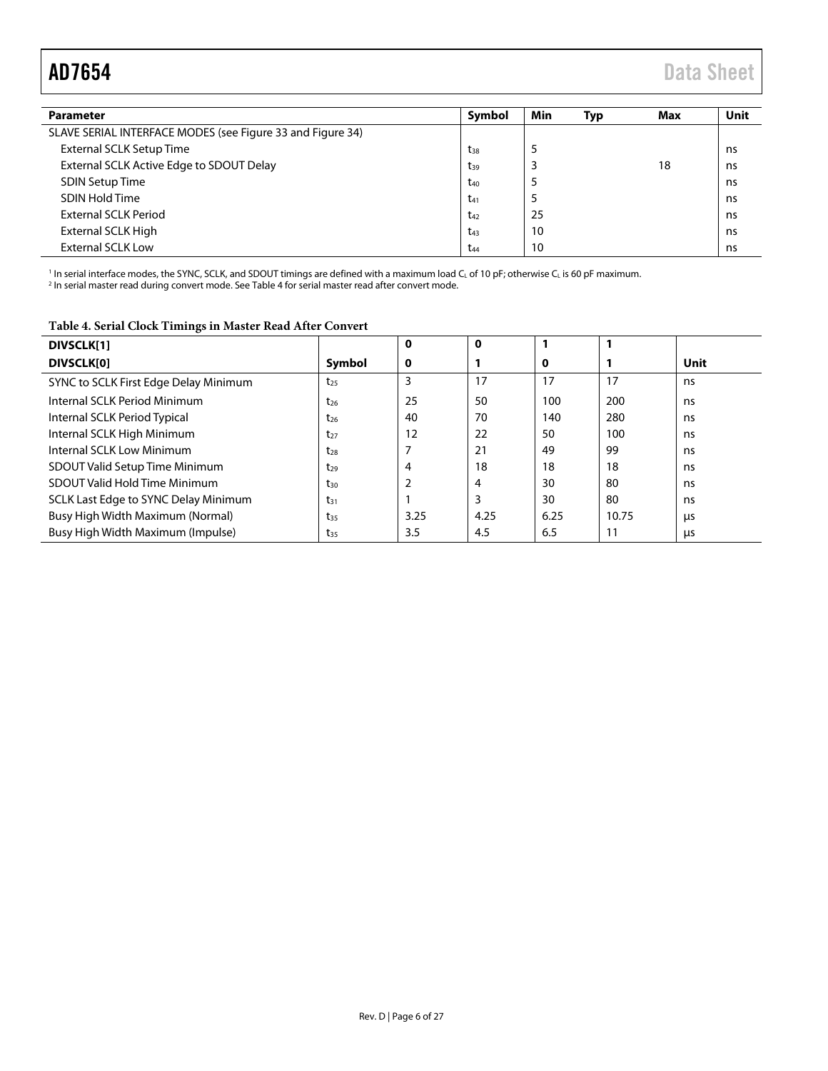<span id="page-5-1"></span>

| <b>Parameter</b>                                           | Symbol          | Min | Typ | Max | Unit |
|------------------------------------------------------------|-----------------|-----|-----|-----|------|
| SLAVE SERIAL INTERFACE MODES (see Figure 33 and Figure 34) |                 |     |     |     |      |
| External SCLK Setup Time                                   | $t_{38}$        |     |     |     | ns   |
| External SCLK Active Edge to SDOUT Delay                   | $t_{39}$        |     |     | 18  | ns   |
| <b>SDIN Setup Time</b>                                     | $t_{40}$        | э   |     |     | ns   |
| <b>SDIN Hold Time</b>                                      | $t_{41}$        | э   |     |     | ns   |
| External SCLK Period                                       | $t_{42}$        | 25  |     |     | ns   |
| External SCLK High                                         | $t_{43}$        | 10  |     |     | ns   |
| <b>External SCLK Low</b>                                   | t <sub>44</sub> | 10  |     |     | ns   |

' In serial interface modes, the SYNC, SCLK, and SDOUT timings are defined with a maximum load C<sub>L</sub> of 10 pF; otherwise C<sub>L</sub> is 60 pF maximum.<br><sup>2</sup> In serial master read during convert mode. Se[e Table 4 f](#page-5-0)or serial master r

<span id="page-5-0"></span>**Table 4. Serial Clock Timings in Master Read After Convert** 

| <b>DIVSCLK[1]</b>                     |          | 0    | 0    |      |       |             |
|---------------------------------------|----------|------|------|------|-------|-------------|
| <b>DIVSCLK[0]</b>                     | Symbol   | 0    |      | 0    |       | <b>Unit</b> |
| SYNC to SCLK First Edge Delay Minimum | $t_{25}$ | 3    | 17   | 17   | 17    | ns.         |
| Internal SCLK Period Minimum          | $t_{26}$ | 25   | 50   | 100  | 200   | ns.         |
| Internal SCLK Period Typical          | t26      | 40   | 70   | 140  | 280   | ns.         |
| Internal SCLK High Minimum            | $t_{27}$ | 12   | 22   | 50   | 100   | ns          |
| Internal SCLK Low Minimum             | $t_{28}$ |      | 21   | 49   | 99    | ns.         |
| <b>SDOUT Valid Setup Time Minimum</b> | $t_{29}$ | 4    | 18   | 18   | 18    | ns          |
| SDOUT Valid Hold Time Minimum         | tзо      |      | 4    | 30   | 80    | ns          |
| SCLK Last Edge to SYNC Delay Minimum  | $t_{31}$ |      |      | 30   | 80    | ns.         |
| Busy High Width Maximum (Normal)      | $t_{35}$ | 3.25 | 4.25 | 6.25 | 10.75 | μs          |
| Busy High Width Maximum (Impulse)     | $t_{35}$ | 3.5  | 4.5  | 6.5  | 11    | μs          |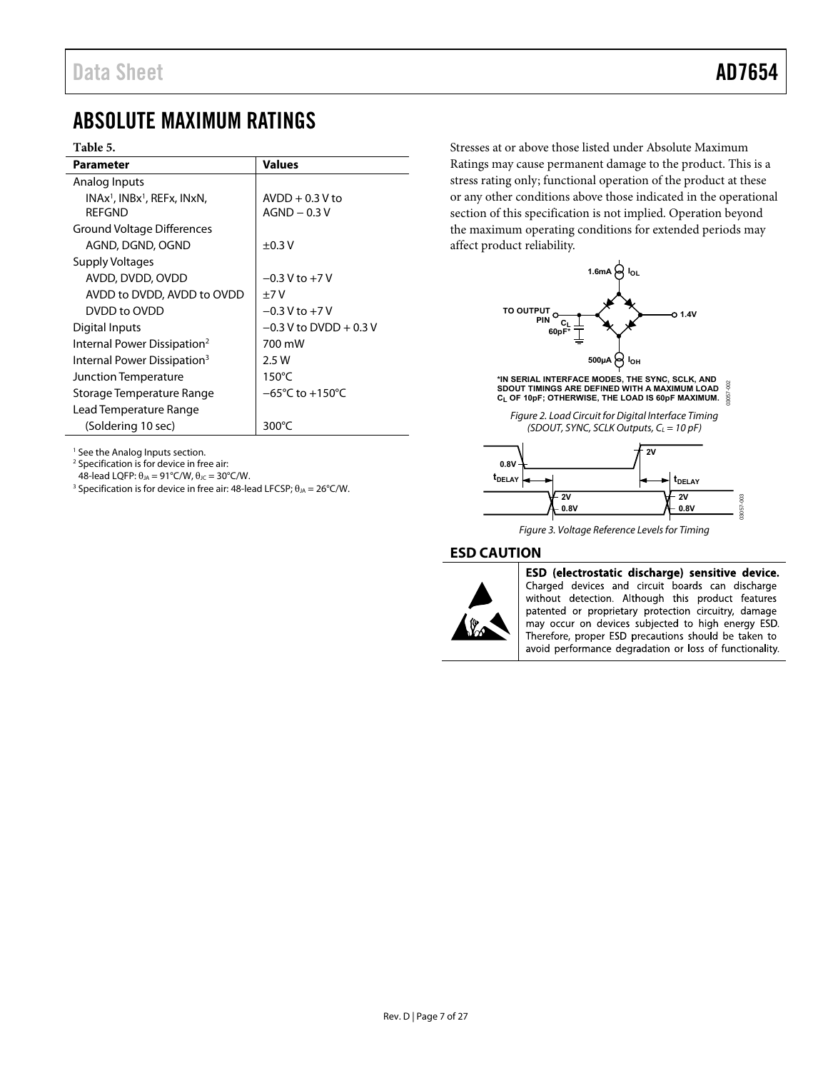# <span id="page-6-0"></span>ABSOLUTE MAXIMUM RATINGS

### **Table 5.**

| <b>Parameter</b>                                    | <b>Values</b>                       |  |
|-----------------------------------------------------|-------------------------------------|--|
| Analog Inputs                                       |                                     |  |
| $INAx1$ , $INBx1$ , REFx, $INxN$ ,<br><b>RFFGND</b> | $AVDD + 0.3 V$ to<br>$AGND - 0.3V$  |  |
| Ground Voltage Differences                          |                                     |  |
| AGND, DGND, OGND                                    | $\pm 0.3$ V                         |  |
| <b>Supply Voltages</b>                              |                                     |  |
| AVDD, DVDD, OVDD                                    | $-0.3$ V to $+7$ V                  |  |
| AVDD to DVDD, AVDD to OVDD                          | $+7V$                               |  |
| DVDD to OVDD                                        | $-0.3 V$ to $+7 V$                  |  |
| Digital Inputs                                      | $-0.3$ V to DVDD + 0.3 V            |  |
| Internal Power Dissipation <sup>2</sup>             | 700 mW                              |  |
| Internal Power Dissipation <sup>3</sup>             | 2.5W                                |  |
| Junction Temperature                                | $150^{\circ}$ C                     |  |
| Storage Temperature Range                           | $-65^{\circ}$ C to $+150^{\circ}$ C |  |
| Lead Temperature Range                              |                                     |  |
| (Soldering 10 sec)                                  | 300°C                               |  |

Stresses at or above those listed under Absolute Maximum Ratings may cause permanent damage to the product. This is a stress rating only; functional operation of the product at these or any other conditions above those indicated in the operational section of this specification is not implied. Operation beyond the maximum operating conditions for extended periods may affect product reliability.



**\*IN SERIAL INTERFACE MODES, THE SYNC, SCLK, AND SDOUT TIMINGS ARE DEFINED WITH A MAXIMUM LOAD CL OF 10pF; OTHERWISE, THE LOAD IS 60pF MAXIMUM.** 03057-002

Figure 2. Load Circuit for Digital Interface Timing (SDOUT, SYNC, SCLK Outputs,  $C_L = 10$  pF)



Figure 3. Voltage Reference Levels for Timing

### <span id="page-6-1"></span>**ESD CAUTION**



ESD (electrostatic discharge) sensitive device. Charged devices and circuit boards can discharge without detection. Although this product features patented or proprietary protection circuitry, damage may occur on devices subjected to high energy ESD. Therefore, proper ESD precautions should be taken to avoid performance degradation or loss of functionality.

<sup>1</sup> See th[e Analog Inputs s](#page-15-1)ection.

2 Specification is for device in free air:

48-lead LQFP:  $\theta_{JA} = 91^{\circ}$ C/W,  $\theta_{JC} = 30^{\circ}$ C/W.

<sup>3</sup> Specification is for device in free air: 48-lead LFCSP;  $\theta_{JA} = 26^{\circ}$ C/W.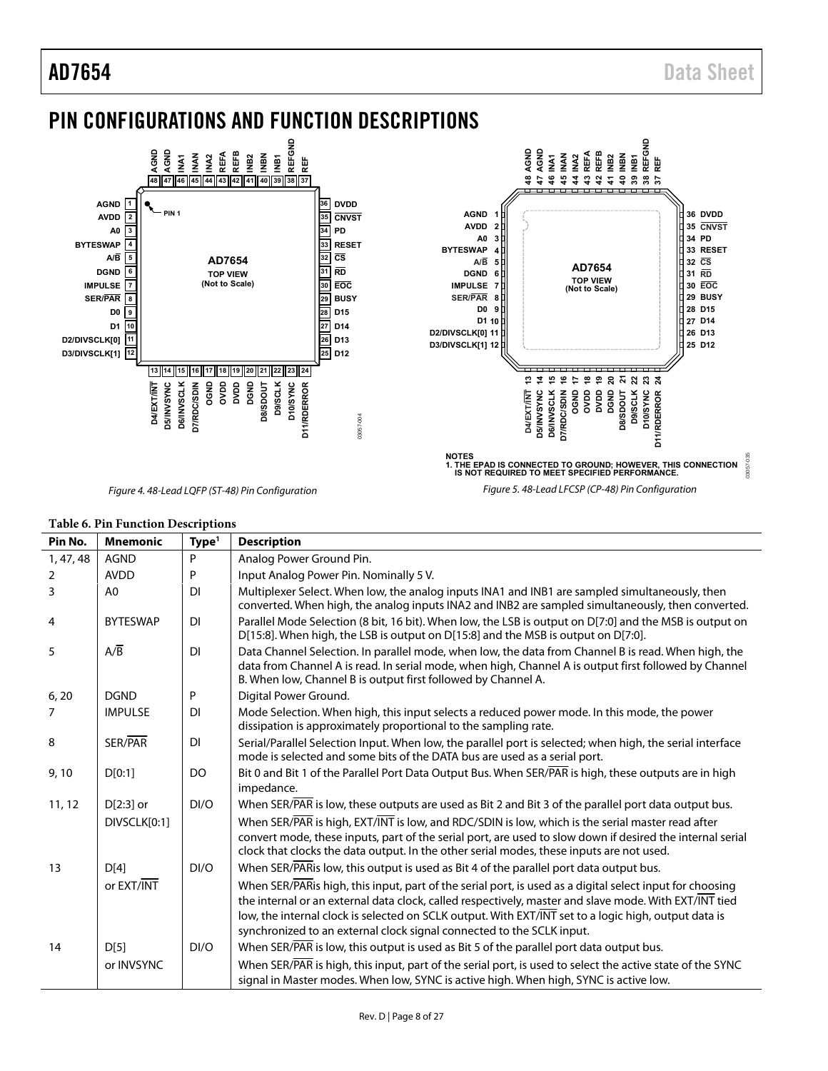# <span id="page-7-0"></span>PIN CONFIGURATIONS AND FUNCTION DESCRIPTIONS



### **Table 6. Pin Function Descriptions**

|           | ruole 0.1 m 1 unetion Descriptions |                   |                                                                                                                                                                                                                                                                                                                                                                                                    |  |  |
|-----------|------------------------------------|-------------------|----------------------------------------------------------------------------------------------------------------------------------------------------------------------------------------------------------------------------------------------------------------------------------------------------------------------------------------------------------------------------------------------------|--|--|
| Pin No.   | <b>Mnemonic</b>                    | Type <sup>1</sup> | <b>Description</b>                                                                                                                                                                                                                                                                                                                                                                                 |  |  |
| 1, 47, 48 | <b>AGND</b>                        | P                 | Analog Power Ground Pin.                                                                                                                                                                                                                                                                                                                                                                           |  |  |
| 2         | <b>AVDD</b>                        | P                 | Input Analog Power Pin. Nominally 5 V.                                                                                                                                                                                                                                                                                                                                                             |  |  |
| 3         | A <sub>0</sub>                     | <b>DI</b>         | Multiplexer Select. When low, the analog inputs INA1 and INB1 are sampled simultaneously, then<br>converted. When high, the analog inputs INA2 and INB2 are sampled simultaneously, then converted.                                                                                                                                                                                                |  |  |
| 4         | <b>BYTESWAP</b>                    | <b>DI</b>         | Parallel Mode Selection (8 bit, 16 bit). When low, the LSB is output on D[7:0] and the MSB is output on<br>$D[15:8]$ . When high, the LSB is output on $D[15:8]$ and the MSB is output on $D[7:0]$ .                                                                                                                                                                                               |  |  |
| 5         | A/B                                | <b>DI</b>         | Data Channel Selection. In parallel mode, when low, the data from Channel B is read. When high, the<br>data from Channel A is read. In serial mode, when high, Channel A is output first followed by Channel<br>B. When low, Channel B is output first followed by Channel A.                                                                                                                      |  |  |
| 6, 20     | <b>DGND</b>                        | P                 | Digital Power Ground.                                                                                                                                                                                                                                                                                                                                                                              |  |  |
| 7         | <b>IMPULSE</b>                     | <b>DI</b>         | Mode Selection. When high, this input selects a reduced power mode. In this mode, the power<br>dissipation is approximately proportional to the sampling rate.                                                                                                                                                                                                                                     |  |  |
| 8         | SER/PAR                            | <b>DI</b>         | Serial/Parallel Selection Input. When low, the parallel port is selected; when high, the serial interface<br>mode is selected and some bits of the DATA bus are used as a serial port.                                                                                                                                                                                                             |  |  |
| 9,10      | D[0:1]                             | DO                | Bit 0 and Bit 1 of the Parallel Port Data Output Bus. When SER/PAR is high, these outputs are in high<br>impedance.                                                                                                                                                                                                                                                                                |  |  |
| 11, 12    | $D[2:3]$ or                        | DI/O              | When SER/PAR is low, these outputs are used as Bit 2 and Bit 3 of the parallel port data output bus.                                                                                                                                                                                                                                                                                               |  |  |
|           | DIVSCLK[0:1]                       |                   | When SER/PAR is high, EXT/INT is low, and RDC/SDIN is low, which is the serial master read after                                                                                                                                                                                                                                                                                                   |  |  |
|           |                                    |                   | convert mode, these inputs, part of the serial port, are used to slow down if desired the internal serial<br>clock that clocks the data output. In the other serial modes, these inputs are not used.                                                                                                                                                                                              |  |  |
| 13        | D[4]                               | DI/O              | When SER/PARis low, this output is used as Bit 4 of the parallel port data output bus.                                                                                                                                                                                                                                                                                                             |  |  |
|           | or EXT/INT                         |                   | When SER/PARis high, this input, part of the serial port, is used as a digital select input for choosing<br>the internal or an external data clock, called respectively, master and slave mode. With EXT/INT tied<br>low, the internal clock is selected on SCLK output. With EXT/INT set to a logic high, output data is<br>synchronized to an external clock signal connected to the SCLK input. |  |  |
| 14        | D[5]                               | DI/O              | When SER/PAR is low, this output is used as Bit 5 of the parallel port data output bus.                                                                                                                                                                                                                                                                                                            |  |  |
|           |                                    |                   |                                                                                                                                                                                                                                                                                                                                                                                                    |  |  |
|           | or INVSYNC                         |                   | When SER/PAR is high, this input, part of the serial port, is used to select the active state of the SYNC<br>signal in Master modes. When low, SYNC is active high. When high, SYNC is active low.                                                                                                                                                                                                 |  |  |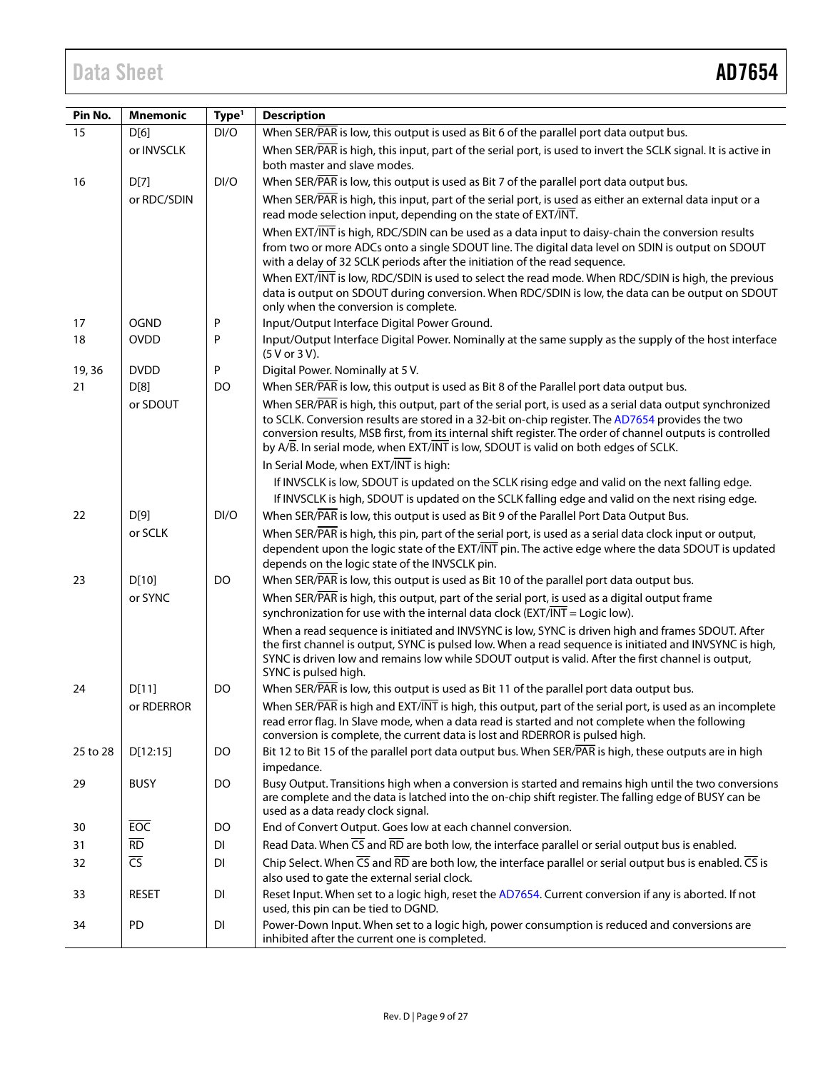| Pin No.  | <b>Mnemonic</b>          | Type <sup>1</sup> | <b>Description</b>                                                                                                                                                                                                                                                                                                                                                                                                |
|----------|--------------------------|-------------------|-------------------------------------------------------------------------------------------------------------------------------------------------------------------------------------------------------------------------------------------------------------------------------------------------------------------------------------------------------------------------------------------------------------------|
| 15       | D[6]                     | DI/O              | When SER/PAR is low, this output is used as Bit 6 of the parallel port data output bus.                                                                                                                                                                                                                                                                                                                           |
|          | or INVSCLK               |                   | When SER/PAR is high, this input, part of the serial port, is used to invert the SCLK signal. It is active in                                                                                                                                                                                                                                                                                                     |
|          |                          |                   | both master and slave modes.                                                                                                                                                                                                                                                                                                                                                                                      |
| 16       | D[7]                     | DI/O              | When SER/PAR is low, this output is used as Bit 7 of the parallel port data output bus.                                                                                                                                                                                                                                                                                                                           |
|          | or RDC/SDIN              |                   | When SER/PAR is high, this input, part of the serial port, is used as either an external data input or a<br>read mode selection input, depending on the state of EXT/INT.                                                                                                                                                                                                                                         |
|          |                          |                   | When EXT/INT is high, RDC/SDIN can be used as a data input to daisy-chain the conversion results                                                                                                                                                                                                                                                                                                                  |
|          |                          |                   | from two or more ADCs onto a single SDOUT line. The digital data level on SDIN is output on SDOUT<br>with a delay of 32 SCLK periods after the initiation of the read sequence.                                                                                                                                                                                                                                   |
|          |                          |                   | When EXT/INT is low, RDC/SDIN is used to select the read mode. When RDC/SDIN is high, the previous                                                                                                                                                                                                                                                                                                                |
|          |                          |                   | data is output on SDOUT during conversion. When RDC/SDIN is low, the data can be output on SDOUT<br>only when the conversion is complete.                                                                                                                                                                                                                                                                         |
| 17       | <b>OGND</b>              | P                 | Input/Output Interface Digital Power Ground.                                                                                                                                                                                                                                                                                                                                                                      |
| 18       | <b>OVDD</b>              | P                 | Input/Output Interface Digital Power. Nominally at the same supply as the supply of the host interface<br>(5 V or 3 V).                                                                                                                                                                                                                                                                                           |
| 19, 36   | <b>DVDD</b>              | P                 | Digital Power. Nominally at 5 V.                                                                                                                                                                                                                                                                                                                                                                                  |
| 21       | D[8]                     | DO                | When SER/PAR is low, this output is used as Bit 8 of the Parallel port data output bus.                                                                                                                                                                                                                                                                                                                           |
|          | or SDOUT                 |                   | When SER/PAR is high, this output, part of the serial port, is used as a serial data output synchronized<br>to SCLK. Conversion results are stored in a 32-bit on-chip register. The AD7654 provides the two<br>conversion results, MSB first, from its internal shift register. The order of channel outputs is controlled<br>by A/B. In serial mode, when EXT/INT is low, SDOUT is valid on both edges of SCLK. |
|          |                          |                   | In Serial Mode, when EXT/INT is high:                                                                                                                                                                                                                                                                                                                                                                             |
|          |                          |                   | If INVSCLK is low, SDOUT is updated on the SCLK rising edge and valid on the next falling edge.                                                                                                                                                                                                                                                                                                                   |
|          |                          |                   | If INVSCLK is high, SDOUT is updated on the SCLK falling edge and valid on the next rising edge.                                                                                                                                                                                                                                                                                                                  |
| 22       | D[9]                     | DI/O              | When SER/PAR is low, this output is used as Bit 9 of the Parallel Port Data Output Bus.                                                                                                                                                                                                                                                                                                                           |
|          | or SCLK                  |                   | When SER/PAR is high, this pin, part of the serial port, is used as a serial data clock input or output,<br>dependent upon the logic state of the EXT/INT pin. The active edge where the data SDOUT is updated<br>depends on the logic state of the INVSCLK pin.                                                                                                                                                  |
| 23       | D[10]                    | DO.               | When SER/PAR is low, this output is used as Bit 10 of the parallel port data output bus.                                                                                                                                                                                                                                                                                                                          |
|          | or SYNC                  |                   | When SER/PAR is high, this output, part of the serial port, is used as a digital output frame<br>synchronization for use with the internal data clock ( $EXT/\overline{INT}$ = Logic low).                                                                                                                                                                                                                        |
|          |                          |                   | When a read sequence is initiated and INVSYNC is low, SYNC is driven high and frames SDOUT. After<br>the first channel is output, SYNC is pulsed low. When a read sequence is initiated and INVSYNC is high,<br>SYNC is driven low and remains low while SDOUT output is valid. After the first channel is output,<br>SYNC is pulsed high.                                                                        |
| 24       | D[11]                    | DO.               | When SER/PAR is low, this output is used as Bit 11 of the parallel port data output bus.                                                                                                                                                                                                                                                                                                                          |
|          | or RDERROR               |                   | When SER/PAR is high and EXT/INT is high, this output, part of the serial port, is used as an incomplete<br>read error flag. In Slave mode, when a data read is started and not complete when the following<br>conversion is complete, the current data is lost and RDERROR is pulsed high.                                                                                                                       |
| 25 to 28 | D[12:15]                 | DO                | Bit 12 to Bit 15 of the parallel port data output bus. When SER/PAR is high, these outputs are in high                                                                                                                                                                                                                                                                                                            |
| 29       | <b>BUSY</b>              | DO.               | impedance.<br>Busy Output. Transitions high when a conversion is started and remains high until the two conversions                                                                                                                                                                                                                                                                                               |
|          |                          |                   | are complete and the data is latched into the on-chip shift register. The falling edge of BUSY can be<br>used as a data ready clock signal.                                                                                                                                                                                                                                                                       |
| 30       | <b>EOC</b>               | DO.               | End of Convert Output. Goes low at each channel conversion.                                                                                                                                                                                                                                                                                                                                                       |
| 31       | $\overline{RD}$          | DI                | Read Data. When $\overline{CS}$ and $\overline{RD}$ are both low, the interface parallel or serial output bus is enabled.                                                                                                                                                                                                                                                                                         |
| 32       | $\overline{\mathsf{CS}}$ | DI                | Chip Select. When $\overline{CS}$ and $\overline{RD}$ are both low, the interface parallel or serial output bus is enabled. $\overline{CS}$ is<br>also used to gate the external serial clock.                                                                                                                                                                                                                    |
| 33       | <b>RESET</b>             | DI                | Reset Input. When set to a logic high, reset the AD7654. Current conversion if any is aborted. If not<br>used, this pin can be tied to DGND.                                                                                                                                                                                                                                                                      |
| 34       | PD                       | DI                | Power-Down Input. When set to a logic high, power consumption is reduced and conversions are<br>inhibited after the current one is completed.                                                                                                                                                                                                                                                                     |
|          |                          |                   |                                                                                                                                                                                                                                                                                                                                                                                                                   |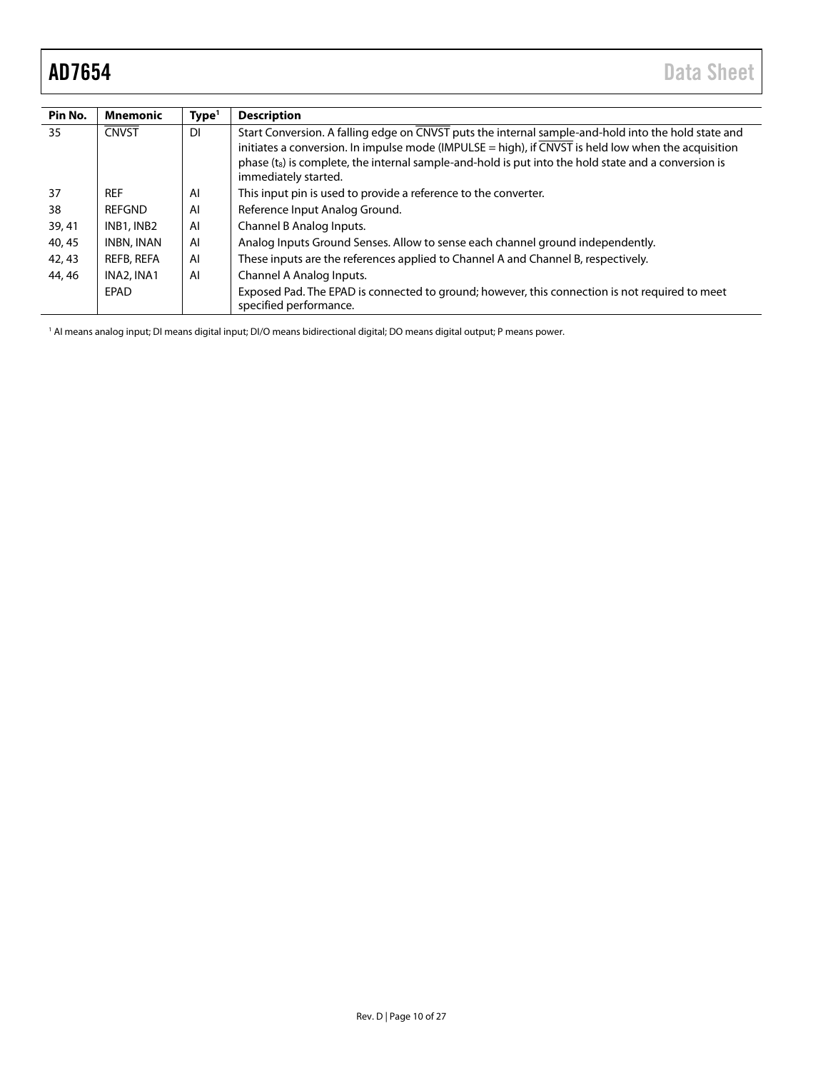<span id="page-9-0"></span>

| Pin No. | <b>Mnemonic</b> | Type <sup>1</sup> | <b>Description</b>                                                                                                                                                                                                                                                                                                                                     |
|---------|-----------------|-------------------|--------------------------------------------------------------------------------------------------------------------------------------------------------------------------------------------------------------------------------------------------------------------------------------------------------------------------------------------------------|
| 35      | <b>CNVST</b>    | <b>DI</b>         | Start Conversion. A falling edge on CNVST puts the internal sample-and-hold into the hold state and<br>initiates a conversion. In impulse mode (IMPULSE = high), if CNVST is held low when the acquisition<br>phase (t <sub>s</sub> ) is complete, the internal sample-and-hold is put into the hold state and a conversion is<br>immediately started. |
| 37      | <b>REF</b>      | Al                | This input pin is used to provide a reference to the converter.                                                                                                                                                                                                                                                                                        |
| 38      | REFGND          | Al                | Reference Input Analog Ground.                                                                                                                                                                                                                                                                                                                         |
| 39, 41  | INB1, INB2      | AI                | Channel B Analog Inputs.                                                                                                                                                                                                                                                                                                                               |
| 40, 45  | INBN, INAN      | AI                | Analog Inputs Ground Senses. Allow to sense each channel ground independently.                                                                                                                                                                                                                                                                         |
| 42, 43  | REFB, REFA      | AI                | These inputs are the references applied to Channel A and Channel B, respectively.                                                                                                                                                                                                                                                                      |
| 44, 46  | INA2, INA1      | AI                | Channel A Analog Inputs.                                                                                                                                                                                                                                                                                                                               |
|         | EPAD            |                   | Exposed Pad. The EPAD is connected to ground; however, this connection is not required to meet<br>specified performance.                                                                                                                                                                                                                               |

1 AI means analog input; DI means digital input; DI/O means bidirectional digital; DO means digital output; P means power.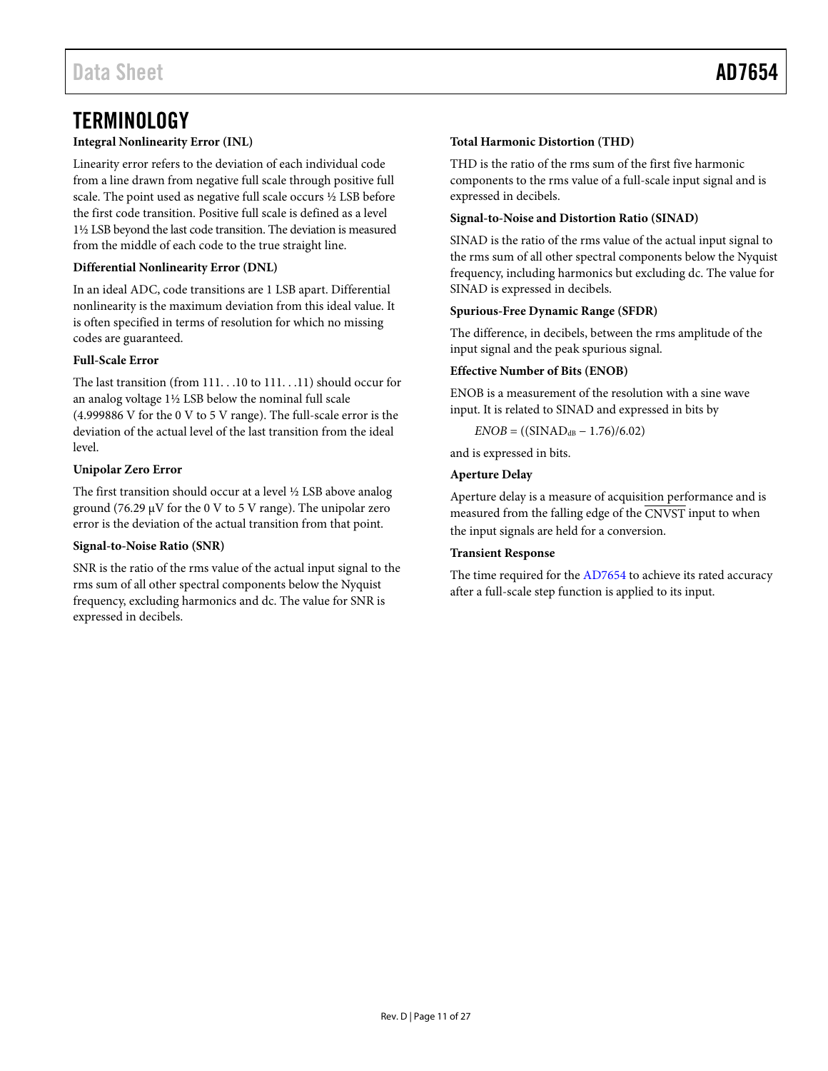# <span id="page-10-0"></span>**TERMINOLOGY**

## **Integral Nonlinearity Error (INL)**

Linearity error refers to the deviation of each individual code from a line drawn from negative full scale through positive full scale. The point used as negative full scale occurs ½ LSB before the first code transition. Positive full scale is defined as a level 1½ LSB beyond the last code transition. The deviation is measured from the middle of each code to the true straight line.

### **Differential Nonlinearity Error (DNL)**

In an ideal ADC, code transitions are 1 LSB apart. Differential nonlinearity is the maximum deviation from this ideal value. It is often specified in terms of resolution for which no missing codes are guaranteed.

## **Full-Scale Error**

The last transition (from 111. . .10 to 111. . .11) should occur for an analog voltage 1½ LSB below the nominal full scale (4.999886 V for the 0 V to 5 V range). The full-scale error is the deviation of the actual level of the last transition from the ideal level.

## **Unipolar Zero Error**

The first transition should occur at a level ½ LSB above analog ground (76.29 μV for the 0 V to 5 V range). The unipolar zero error is the deviation of the actual transition from that point.

### **Signal-to-Noise Ratio (SNR)**

SNR is the ratio of the rms value of the actual input signal to the rms sum of all other spectral components below the Nyquist frequency, excluding harmonics and dc. The value for SNR is expressed in decibels.

## **Total Harmonic Distortion (THD)**

THD is the ratio of the rms sum of the first five harmonic components to the rms value of a full-scale input signal and is expressed in decibels.

### **Signal-to-Noise and Distortion Ratio (SINAD)**

SINAD is the ratio of the rms value of the actual input signal to the rms sum of all other spectral components below the Nyquist frequency, including harmonics but excluding dc. The value for SINAD is expressed in decibels.

### **Spurious-Free Dynamic Range (SFDR)**

The difference, in decibels, between the rms amplitude of the input signal and the peak spurious signal.

### **Effective Number of Bits (ENOB)**

ENOB is a measurement of the resolution with a sine wave input. It is related to SINAD and expressed in bits by

 $ENOB = ((SIMAD<sub>dB</sub> - 1.76)/6.02)$ 

and is expressed in bits.

## **Aperture Delay**

Aperture delay is a measure of acquisition performance and is measured from the falling edge of the CNVST input to when the input signals are held for a conversion.

### **Transient Response**

The time required for th[e AD7654](http://analog.com/ad7654?doc=ad7654.pdf) to achieve its rated accuracy after a full-scale step function is applied to its input.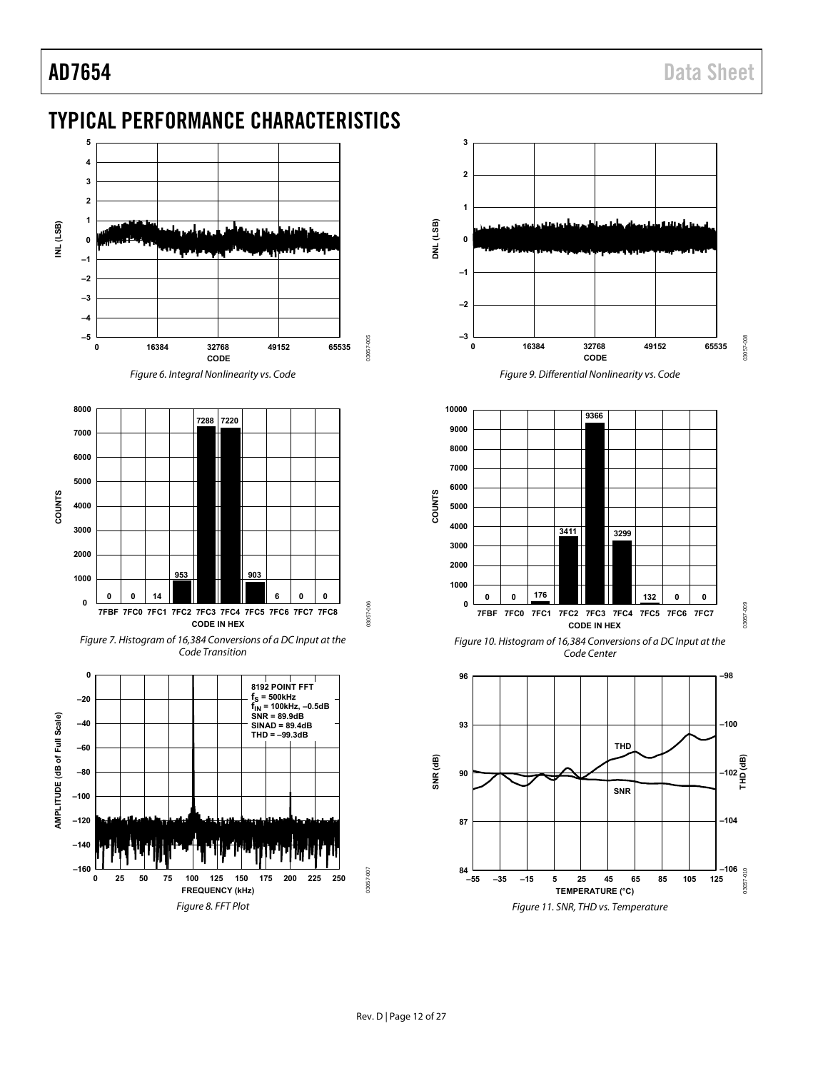# <span id="page-11-0"></span>TYPICAL PERFORMANCE CHARACTERISTICS



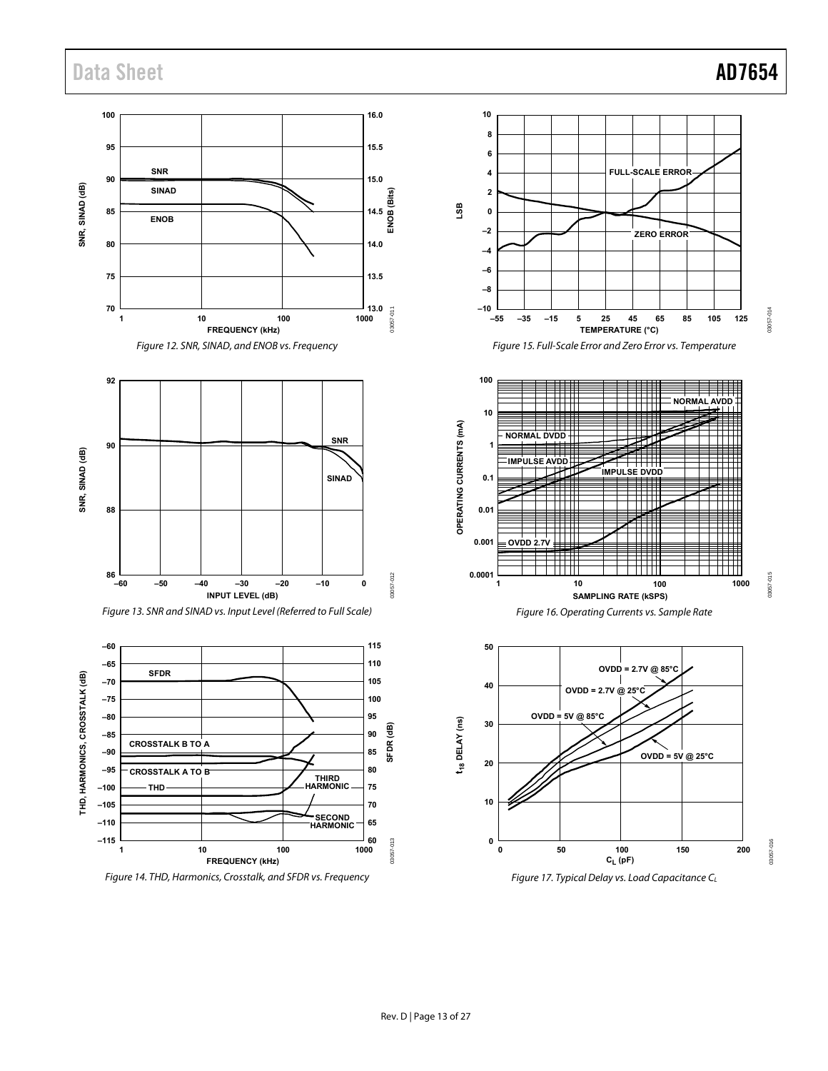

Figure 17. Typical Delay vs. Load Capacitance  $C_L$ 

03057-014

03057-014

03057-015

03057-015

03057-016

03057-016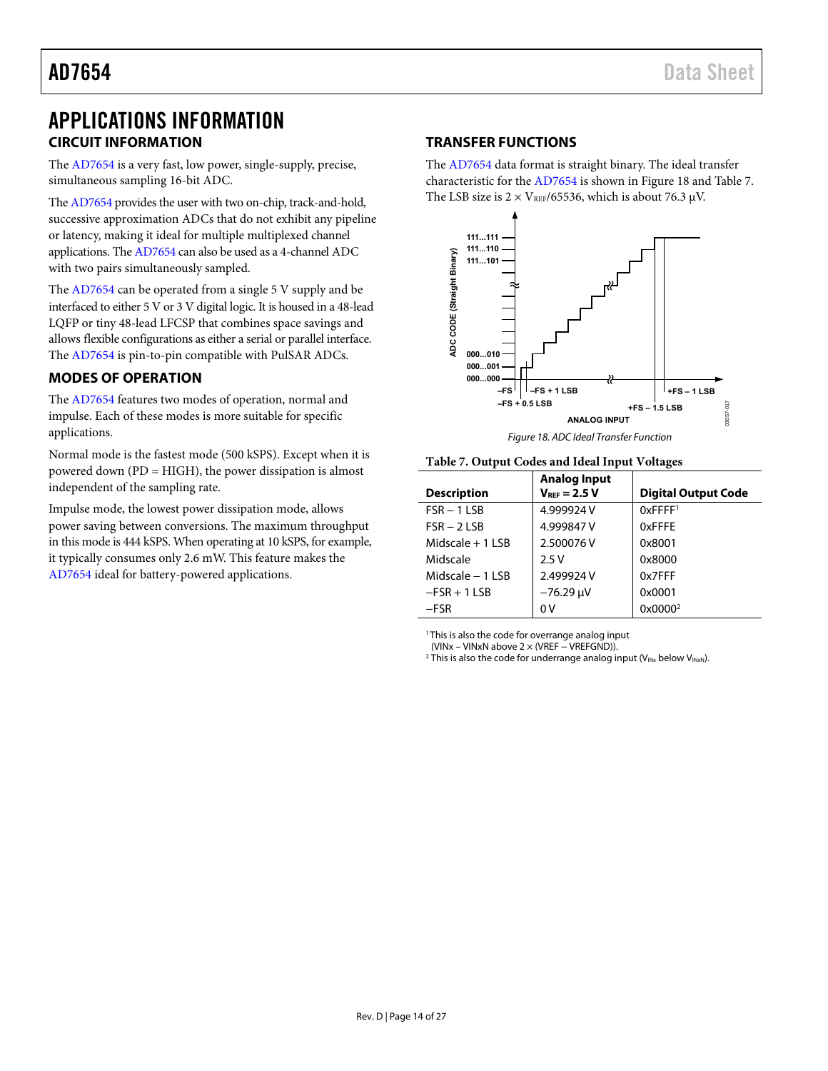# <span id="page-13-0"></span>APPLICATIONS INFORMATION **CIRCUIT INFORMATION**

<span id="page-13-1"></span>The [AD7654 i](http://analog.com/ad7654?doc=ad7654.pdf)s a very fast, low power, single-supply, precise, simultaneous sampling 16-bit ADC.

Th[e AD7654 p](http://analog.com/ad7654?doc=ad7654.pdf)rovides the user with two on-chip, track-and-hold, successive approximation ADCs that do not exhibit any pipeline or latency, making it ideal for multiple multiplexed channel applications. Th[e AD7654 c](http://analog.com/ad7654?doc=ad7654.pdf)an also be used as a 4-channel ADC with two pairs simultaneously sampled.

The [AD7654](http://analog.com/ad7654?doc=ad7654.pdf) can be operated from a single 5 V supply and be interfaced to either 5 V or 3 V digital logic. It is housed in a 48-lead LQFP or tiny 48-lead LFCSP that combines space savings and allows flexible configurations as either a serial or parallel interface. The [AD7654 i](http://analog.com/ad7654?doc=ad7654.pdf)s pin-to-pin compatible with PulSAR ADCs.

# <span id="page-13-2"></span>**MODES OF OPERATION**

The [AD7654 f](http://analog.com/ad7654?doc=ad7654.pdf)eatures two modes of operation, normal and impulse. Each of these modes is more suitable for specific applications.

Normal mode is the fastest mode (500 kSPS). Except when it is powered down (PD = HIGH), the power dissipation is almost independent of the sampling rate.

Impulse mode, the lowest power dissipation mode, allows power saving between conversions. The maximum throughput in this mode is 444 kSPS. When operating at 10 kSPS, for example, it typically consumes only 2.6 mW. This feature makes the [AD7654 i](http://analog.com/ad7654?doc=ad7654.pdf)deal for battery-powered applications.

# <span id="page-13-3"></span>**TRANSFER FUNCTIONS**

The [AD7654](http://analog.com/ad7654?doc=ad7654.pdf) data format is straight binary. The ideal transfer characteristic for th[e AD7654](http://analog.com/ad7654?doc=ad7654.pdf) is shown i[n Figure 18](#page-13-4) an[d Table 7.](#page-13-5)  The LSB size is  $2 \times V_{REF}/65536$ , which is about 76.3  $\mu$ V.



### <span id="page-13-5"></span><span id="page-13-4"></span>**Table 7. Output Codes and Ideal Input Voltages**

|                    | <b>Analog Input</b> |                            |
|--------------------|---------------------|----------------------------|
| <b>Description</b> | $V_{REF} = 2.5 V$   | <b>Digital Output Code</b> |
| $FSR - 1LSB$       | 4.999924 V          | $0x$ FFFF <sup>1</sup>     |
| $FSR - 2LSB$       | 4.999847 V          | 0xFFFF                     |
| Midscale $+1$ LSB  | 2.500076V           | 0x8001                     |
| Midscale           | 2.5V                | 0x8000                     |
| Midscale $-11$ SB  | 2.499924 V          | 0x7FFF                     |
| $-FSR + 1 LSB$     | $-76.29 \mu V$      | 0x0001                     |
| -FSR               | 0 V                 | 0x0000 <sup>2</sup>        |

<sup>1</sup> This is also the code for overrange analog input

(VINx – VINxN above 2 × (VREF − VREFGND)).

<sup>2</sup> This is also the code for underrange analog input ( $V_{INx}$  below  $V_{INxN}$ ).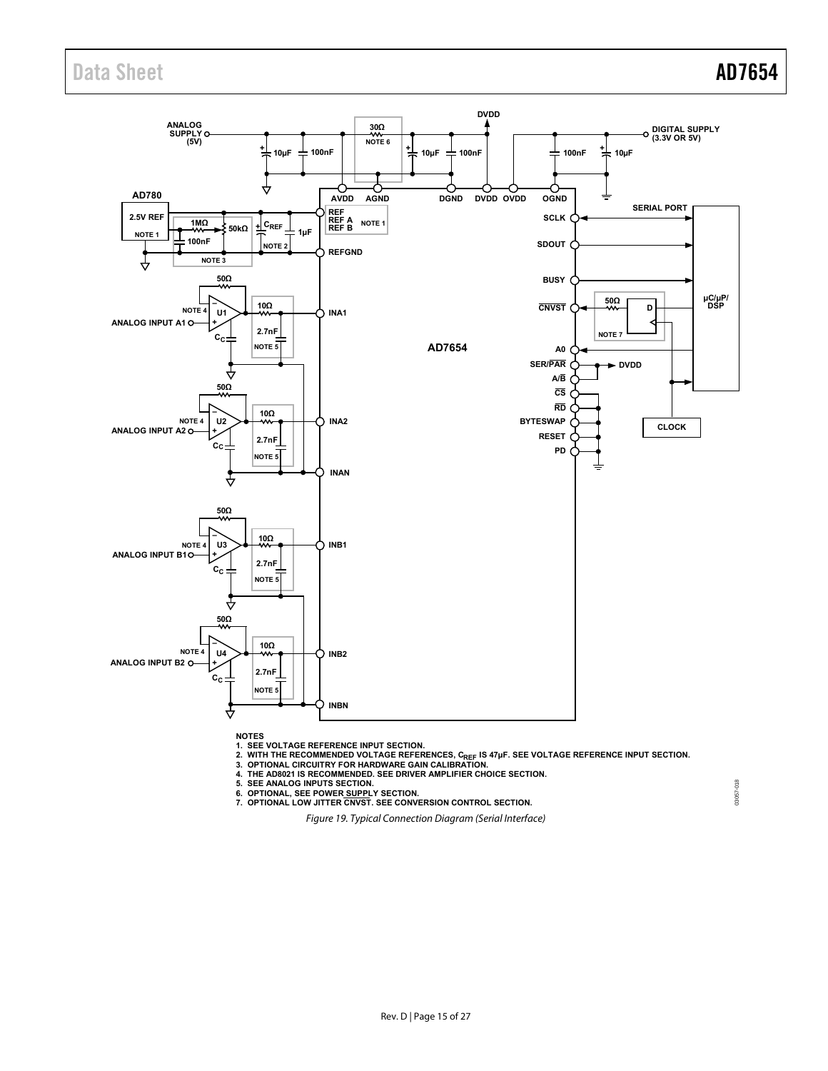

**NOTES**

1. SEE VOLTAGE REFERENCE INPUT SECTION.<br>2. WITH THE RECOMMENDED VOLTAGE REFERENCES, C<sub>REF</sub> IS 47µF. SEE VOLTAGE REFERENCE INPUT SECTION.<br>3. OPTIONAL CIRCUITRY FOR HARDWARE GAIN CALIBRATION.<br>4. THE AD8021 IS RECOMMENDED. SE

<span id="page-14-0"></span>

5. SEE ANALOG INPUTS SECTION.<br>6. OPTIONAL, SEE POWER <u>SUPPL</u>Y SECTION.<br>7. OPTIONAL LOW JITTER CNVST. SEE CONVERSION CONTROL SECTION.

Figure 19. Typical Connection Diagram (Serial Interface)

03057-018 03057-018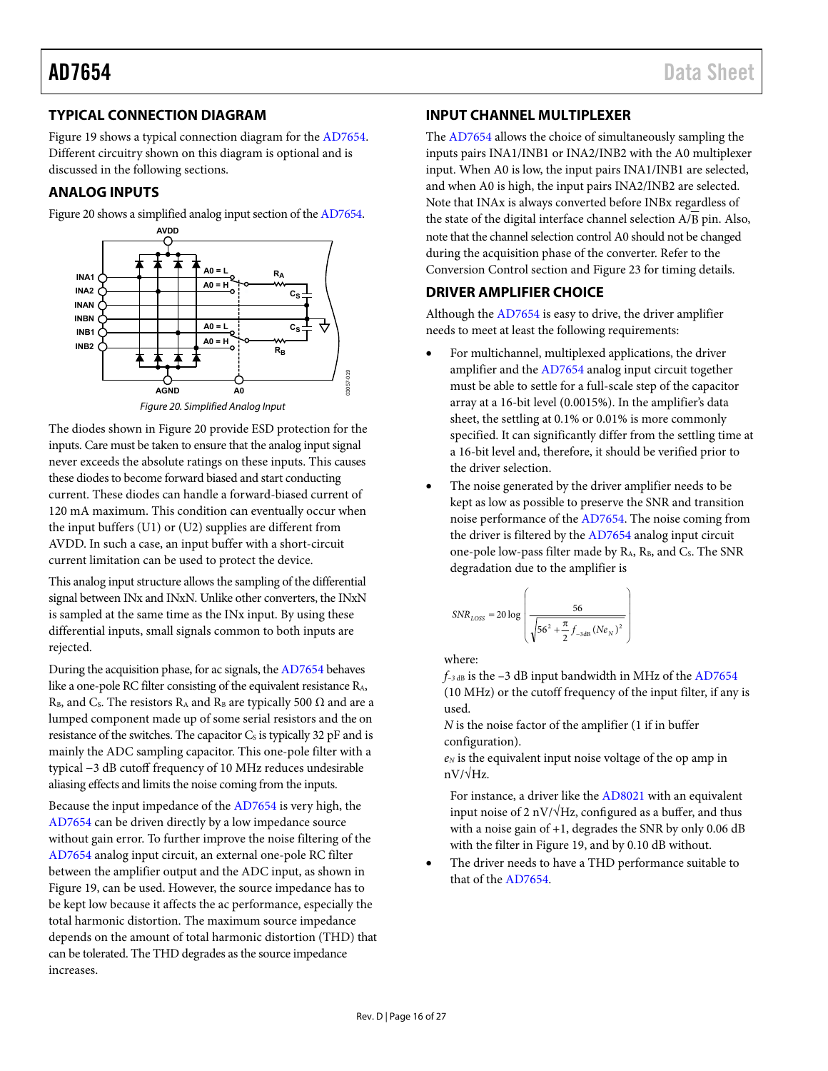# <span id="page-15-0"></span>**TYPICAL CONNECTION DIAGRAM**

[Figure 19 s](#page-14-0)hows a typical connection diagram for the [AD7654.](http://analog.com/ad7654?doc=ad7654.pdf)  Different circuitry shown on this diagram is optional and is discussed in the following sections.

## <span id="page-15-1"></span>**ANALOG INPUTS**

[Figure 20 s](#page-15-4)hows a simplified analog input section of th[e AD7654.](http://analog.com/ad7654?doc=ad7654.pdf) 



Figure 20. Simplified Analog Input

<span id="page-15-4"></span>The diodes shown i[n Figure 20](#page-15-4) provide ESD protection for the inputs. Care must be taken to ensure that the analog input signal never exceeds the absolute ratings on these inputs. This causes these diodes to become forward biased and start conducting current. These diodes can handle a forward-biased current of 120 mA maximum. This condition can eventually occur when the input buffers (U1) or (U2) supplies are different from AVDD. In such a case, an input buffer with a short-circuit current limitation can be used to protect the device.

This analog input structure allows the sampling of the differential signal between INx and INxN. Unlike other converters, the INxN is sampled at the same time as the INx input. By using these differential inputs, small signals common to both inputs are rejected.

During the acquisition phase, for ac signals, th[e AD7654 b](http://analog.com/ad7654?doc=ad7654.pdf)ehaves like a one-pole RC filter consisting of the equivalent resistance RA, R<sub>B</sub>, and C<sub>s</sub>. The resistors R<sub>A</sub> and R<sub>B</sub> are typically 500  $\Omega$  and are a lumped component made up of some serial resistors and the on resistance of the switches. The capacitor  $C_s$  is typically 32 pF and is mainly the ADC sampling capacitor. This one-pole filter with a typical −3 dB cutoff frequency of 10 MHz reduces undesirable aliasing effects and limits the noise coming from the inputs.

Because the input impedance of the [AD7654 i](http://analog.com/ad7654?doc=ad7654.pdf)s very high, the [AD7654 c](http://analog.com/ad7654?doc=ad7654.pdf)an be driven directly by a low impedance source without gain error. To further improve the noise filtering of the [AD7654 a](http://analog.com/ad7654?doc=ad7654.pdf)nalog input circuit, an external one-pole RC filter between the amplifier output and the ADC input, as shown in [Figure 19,](#page-14-0) can be used. However, the source impedance has to be kept low because it affects the ac performance, especially the total harmonic distortion. The maximum source impedance depends on the amount of total harmonic distortion (THD) that can be tolerated. The THD degrades as the source impedance increases.

# <span id="page-15-2"></span>**INPUT CHANNEL MULTIPLEXER**

The [AD7654](http://analog.com/ad7654?doc=ad7654.pdf) allows the choice of simultaneously sampling the inputs pairs INA1/INB1 or INA2/INB2 with the A0 multiplexer input. When A0 is low, the input pairs INA1/INB1 are selected, and when A0 is high, the input pairs INA2/INB2 are selected. Note that INAx is always converted before INBx regardless of the state of the digital interface channel selection A/B pin. Also, note that the channel selection control A0 should not be changed during the acquisition phase of the converter. Refer to the [Conversion Control s](#page-17-0)ection an[d Figure 23 f](#page-17-3)or timing details.

# <span id="page-15-3"></span>**DRIVER AMPLIFIER CHOICE**

Although th[e AD7654 i](http://analog.com/ad7654?doc=ad7654.pdf)s easy to drive, the driver amplifier needs to meet at least the following requirements:

- For multichannel, multiplexed applications, the driver amplifier and th[e AD7654](http://analog.com/ad7654?doc=ad7654.pdf) analog input circuit together must be able to settle for a full-scale step of the capacitor array at a 16-bit level (0.0015%). In the amplifier's data sheet, the settling at 0.1% or 0.01% is more commonly specified. It can significantly differ from the settling time at a 16-bit level and, therefore, it should be verified prior to the driver selection.
- The noise generated by the driver amplifier needs to be kept as low as possible to preserve the SNR and transition noise performance of the [AD7654.](http://analog.com/ad7654?doc=ad7654.pdf) The noise coming from the driver is filtered by the [AD7654](http://analog.com/ad7654?doc=ad7654.pdf) analog input circuit one-pole low-pass filter made by R<sub>A</sub>, R<sub>B</sub>, and C<sub>s</sub>. The SNR degradation due to the amplifier is

$$
SNR_{LOS} = 20 \log \left( \frac{56}{\sqrt{56^2 + \frac{\pi}{2} f_{-3\text{dB}} (Ne_N)^2}} \right)
$$

where:

 $f_{-3 dB}$  is the  $-3 dB$  input bandwidth in MHz of the [AD7654](http://analog.com/ad7654?doc=ad7654.pdf) (10 MHz) or the cutoff frequency of the input filter, if any is used.

*N* is the noise factor of the amplifier (1 if in buffer configuration).

*eN* is the equivalent input noise voltage of the op amp in nV/√Hz.

For instance, a driver like th[e AD8021](http://analog.com/ad8021?doc=ad7654.pdf) with an equivalent input noise of 2 nV/ $\sqrt{Hz}$ , configured as a buffer, and thus with a noise gain of +1, degrades the SNR by only 0.06 dB with the filter i[n Figure 19,](#page-14-0) and by 0.10 dB without.

 The driver needs to have a THD performance suitable to that of the [AD7654.](http://analog.com/ad7654?doc=ad7654.pdf)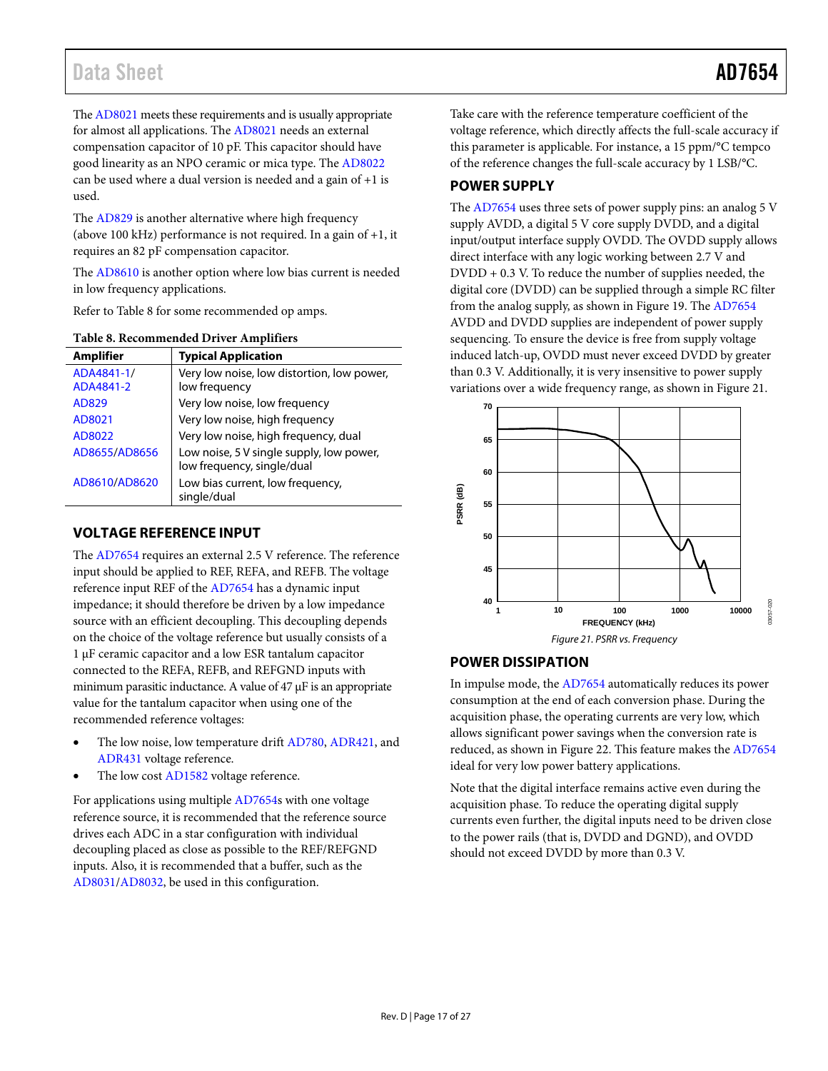Th[e AD8021 m](http://analog.com/ad8021?doc=ad7654.pdf)eets these requirements and is usually appropriate for almost all applications. The [AD8021 n](http://analog.com/ad8021?doc=ad7654.pdf)eeds an external compensation capacitor of 10 pF. This capacitor should have good linearity as an NPO ceramic or mica type. The [AD8022](http://analog.com/ad8022?doc=ad7654.pdf) can be used where a dual version is needed and a gain of +1 is used.

The [AD829 i](http://analog.com/ad829?doc=ad7654.pdf)s another alternative where high frequency (above 100 kHz) performance is not required. In a gain of +1, it requires an 82 pF compensation capacitor.

The [AD8610 i](http://analog.com/ad8610?doc=ad7654.pdf)s another option where low bias current is needed in low frequency applications.

Refer t[o Table 8](#page-16-3) for some recommended op amps.

| <b>Amplifier</b> | <b>Typical Application</b>                                             |  |  |
|------------------|------------------------------------------------------------------------|--|--|
| ADA4841-1/       | Very low noise, low distortion, low power,                             |  |  |
| ADA4841-2        | low frequency                                                          |  |  |
| AD829            | Very low noise, low frequency                                          |  |  |
| AD8021           | Very low noise, high frequency                                         |  |  |
| AD8022           | Very low noise, high frequency, dual                                   |  |  |
| AD8655/AD8656    | Low noise, 5 V single supply, low power,<br>low frequency, single/dual |  |  |
| AD8610/AD8620    | Low bias current, low frequency,<br>single/dual                        |  |  |

### <span id="page-16-3"></span>**Table 8. Recommended Driver Amplifiers**

## <span id="page-16-0"></span>**VOLTAGE REFERENCE INPUT**

The [AD7654 r](http://analog.com/ad7654?doc=ad7654.pdf)equires an external 2.5 V reference. The reference input should be applied to REF, REFA, and REFB. The voltage reference input REF of the [AD7654 h](http://analog.com/ad7654?doc=ad7654.pdf)as a dynamic input impedance; it should therefore be driven by a low impedance source with an efficient decoupling. This decoupling depends on the choice of the voltage reference but usually consists of a 1 μF ceramic capacitor and a low ESR tantalum capacitor connected to the REFA, REFB, and REFGND inputs with minimum parasitic inductance. A value of 47 μF is an appropriate value for the tantalum capacitor when using one of the recommended reference voltages:

- The low noise, low temperature drif[t AD780,](http://analog.com/ad780?doc=ad7654.pdf) [ADR421,](http://analog.com/adr421?doc=ad7654.pdf) and [ADR431](http://analog.com/adr431?doc=ad7654.pdf) voltage reference.
- The low cost [AD1582](http://analog.com/ad1582?doc=ad7654.pdf) voltage reference.

For applications using multipl[e AD7654s](http://analog.com/ad7654?doc=ad7654.pdf) with one voltage reference source, it is recommended that the reference source drives each ADC in a star configuration with individual decoupling placed as close as possible to the REF/REFGND inputs. Also, it is recommended that a buffer, such as the [AD8031/](http://analog.com/ad8031?doc=ad7654.pdf)[AD8032,](http://analog.com/ad8032?doc=ad7654.pdf) be used in this configuration.

Take care with the reference temperature coefficient of the voltage reference, which directly affects the full-scale accuracy if this parameter is applicable. For instance, a 15 ppm/°C tempco of the reference changes the full-scale accuracy by 1 LSB/°C.

## <span id="page-16-1"></span>**POWER SUPPLY**

The [AD7654 u](http://analog.com/ad7654?doc=ad7654.pdf)ses three sets of power supply pins: an analog 5 V supply AVDD, a digital 5 V core supply DVDD, and a digital input/output interface supply OVDD. The OVDD supply allows direct interface with any logic working between 2.7 V and DVDD + 0.3 V. To reduce the number of supplies needed, the digital core (DVDD) can be supplied through a simple RC filter from the analog supply, as shown i[n Figure 19.](#page-14-0) Th[e AD7654](http://analog.com/ad7654?doc=ad7654.pdf) AVDD and DVDD supplies are independent of power supply sequencing. To ensure the device is free from supply voltage induced latch-up, OVDD must never exceed DVDD by greater than 0.3 V. Additionally, it is very insensitive to power supply variations over a wide frequency range, as shown in [Figure 21.](#page-16-4) 



## <span id="page-16-4"></span><span id="page-16-2"></span>**POWER DISSIPATION**

In impulse mode, the [AD7654 a](http://analog.com/ad7654?doc=ad7654.pdf)utomatically reduces its power consumption at the end of each conversion phase. During the acquisition phase, the operating currents are very low, which allows significant power savings when the conversion rate is reduced, as shown i[n Figure 22.](#page-17-5) This feature makes th[e AD7654](http://analog.com/ad7654?doc=ad7654.pdf) ideal for very low power battery applications.

Note that the digital interface remains active even during the acquisition phase. To reduce the operating digital supply currents even further, the digital inputs need to be driven close to the power rails (that is, DVDD and DGND), and OVDD should not exceed DVDD by more than 0.3 V.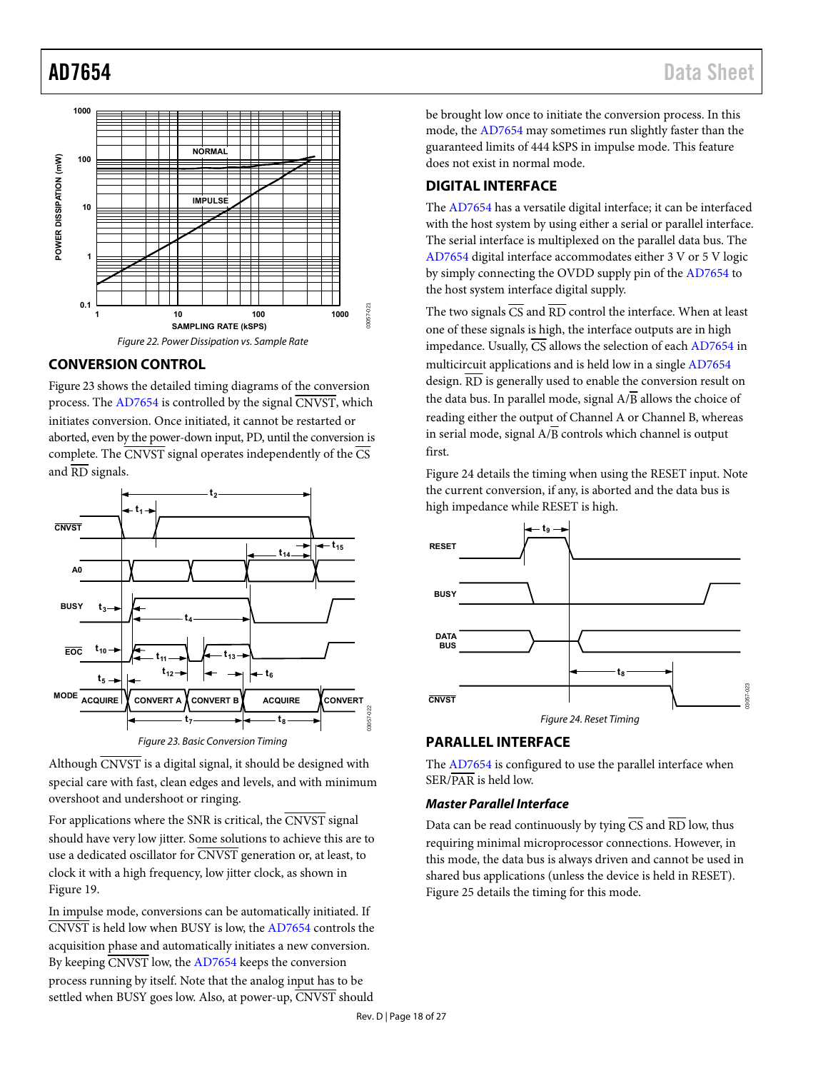

# <span id="page-17-5"></span><span id="page-17-0"></span>**CONVERSION CONTROL**

[Figure 23 s](#page-17-3)hows the detailed timing diagrams of the conversion process. Th[e AD7654 i](http://analog.com/ad7654?doc=ad7654.pdf)s controlled by the signal  $\overline{\text{CNVST}}$ , which initiates conversion. Once initiated, it cannot be restarted or aborted, even by the power-down input, PD, until the conversion is complete. The  $\overline{\text{CNVST}}$  signal operates independently of the  $\overline{\text{CS}}$ and RD signals.



<span id="page-17-3"></span>Although  $\overline{\text{CNVST}}$  is a digital signal, it should be designed with special care with fast, clean edges and levels, and with minimum overshoot and undershoot or ringing.

For applications where the SNR is critical, the CNVST signal should have very low jitter. Some solutions to achieve this are to use a dedicated oscillator for CNVST generation or, at least, to clock it with a high frequency, low jitter clock, as shown in [Figure 19.](#page-14-0) 

In impulse mode, conversions can be automatically initiated. If CNVST is held low when BUSY is low, the [AD7654](http://analog.com/ad7654?doc=ad7654.pdf) controls the acquisition phase and automatically initiates a new conversion. By keeping CNVST low, th[e AD7654 k](http://analog.com/ad7654?doc=ad7654.pdf)eeps the conversion process running by itself. Note that the analog input has to be settled when BUSY goes low. Also, at power-up, CNVST should

be brought low once to initiate the conversion process. In this mode, the [AD7654](http://analog.com/ad7654?doc=ad7654.pdf) may sometimes run slightly faster than the guaranteed limits of 444 kSPS in impulse mode. This feature does not exist in normal mode.

# <span id="page-17-1"></span>**DIGITAL INTERFACE**

The [AD7654 h](http://analog.com/ad7654?doc=ad7654.pdf)as a versatile digital interface; it can be interfaced with the host system by using either a serial or parallel interface. The serial interface is multiplexed on the parallel data bus. The [AD7654 d](http://analog.com/ad7654?doc=ad7654.pdf)igital interface accommodates either 3 V or 5 V logic by simply connecting the OVDD supply pin of th[e AD7654 t](http://analog.com/ad7654?doc=ad7654.pdf)o the host system interface digital supply.

The two signals  $\overline{CS}$  and  $\overline{RD}$  control the interface. When at least one of these signals is high, the interface outputs are in high impedance. Usually, CS allows the selection of each [AD7654](http://analog.com/ad7654?doc=ad7654.pdf) in multicircuit applications and is held low in a single [AD7654](http://analog.com/ad7654?doc=ad7654.pdf) design.  $\overline{\text{RD}}$  is generally used to enable the conversion result on the data bus. In parallel mode, signal  $A/\overline{B}$  allows the choice of reading either the output of Channel A or Channel B, whereas in serial mode, signal  $A/B$  controls which channel is output first.

[Figure 24 d](#page-17-4)etails the timing when using the RESET input. Note the current conversion, if any, is aborted and the data bus is high impedance while RESET is high.



## <span id="page-17-4"></span><span id="page-17-2"></span>**PARALLEL INTERFACE**

The [AD7654 i](http://analog.com/ad7654?doc=ad7654.pdf)s configured to use the parallel interface when SER/PAR is held low.

### **Master Parallel Interface**

Data can be read continuously by tying  $\overline{CS}$  and  $\overline{RD}$  low, thus requiring minimal microprocessor connections. However, in this mode, the data bus is always driven and cannot be used in shared bus applications (unless the device is held in RESET). [Figure 25 d](#page-18-0)etails the timing for this mode.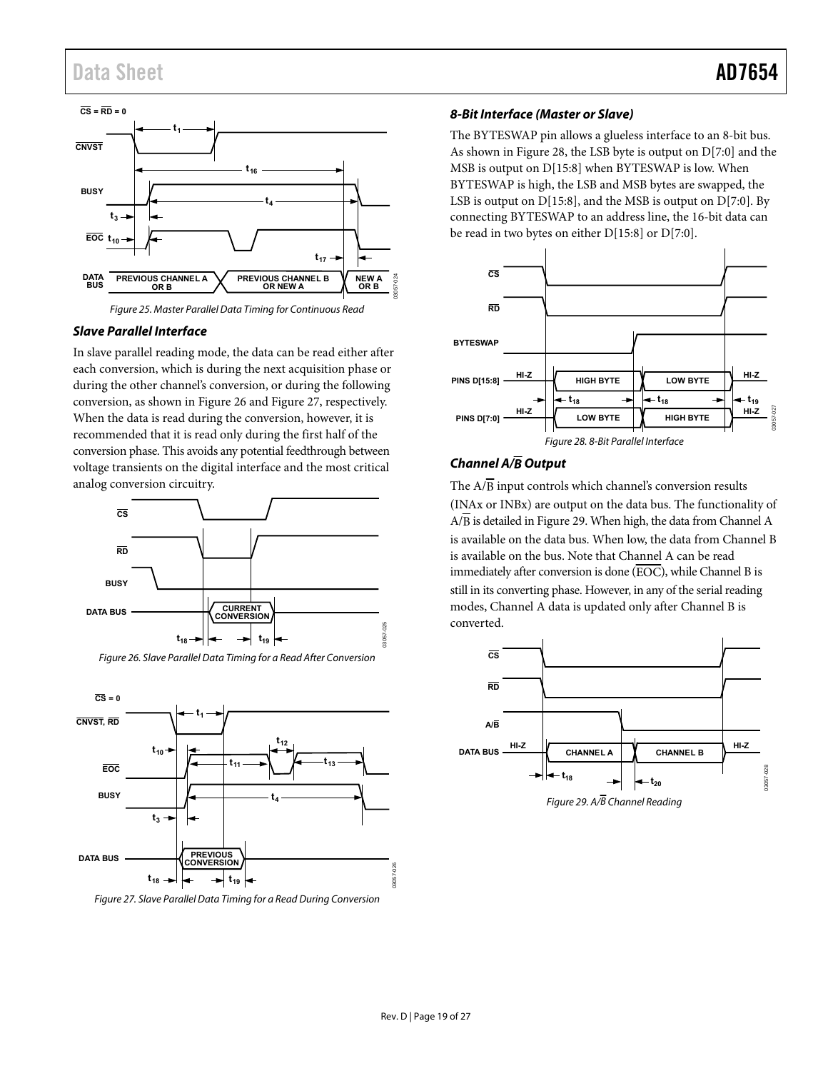

Figure 25. Master Parallel Data Timing for Continuous Read

## <span id="page-18-0"></span>**Slave Parallel Interface**

In slave parallel reading mode, the data can be read either after each conversion, which is during the next acquisition phase or during the other channel's conversion, or during the following conversion, as shown i[n Figure 26](#page-18-2) an[d Figure 27,](#page-18-3) respectively. When the data is read during the conversion, however, it is recommended that it is read only during the first half of the conversion phase. This avoids any potential feedthrough between voltage transients on the digital interface and the most critical analog conversion circuitry.



<span id="page-18-2"></span>



<span id="page-18-3"></span>Figure 27. Slave Parallel Data Timing for a Read During Conversion

### **8-Bit Interface (Master or Slave)**

The BYTESWAP pin allows a glueless interface to an 8-bit bus. As shown in [Figure 28,](#page-18-4) the LSB byte is output on D[7:0] and the MSB is output on D[15:8] when BYTESWAP is low. When BYTESWAP is high, the LSB and MSB bytes are swapped, the LSB is output on D[15:8], and the MSB is output on D[7:0]. By connecting BYTESWAP to an address line, the 16-bit data can be read in two bytes on either D[15:8] or D[7:0].



## <span id="page-18-4"></span>**Channel A/B Output**

The  $A/\overline{B}$  input controls which channel's conversion results (INAx or INBx) are output on the data bus. The functionality of A/B is detailed i[n Figure 29.](#page-18-1) When high, the data from Channel A is available on the data bus. When low, the data from Channel B is available on the bus. Note that Channel A can be read immediately after conversion is done  $(\overline{EOC})$ , while Channel B is still in its converting phase. However, in any of the serial reading modes, Channel A data is updated only after Channel B is converted.



<span id="page-18-1"></span>Figure 29.  $A\sqrt{B}$  Channel Reading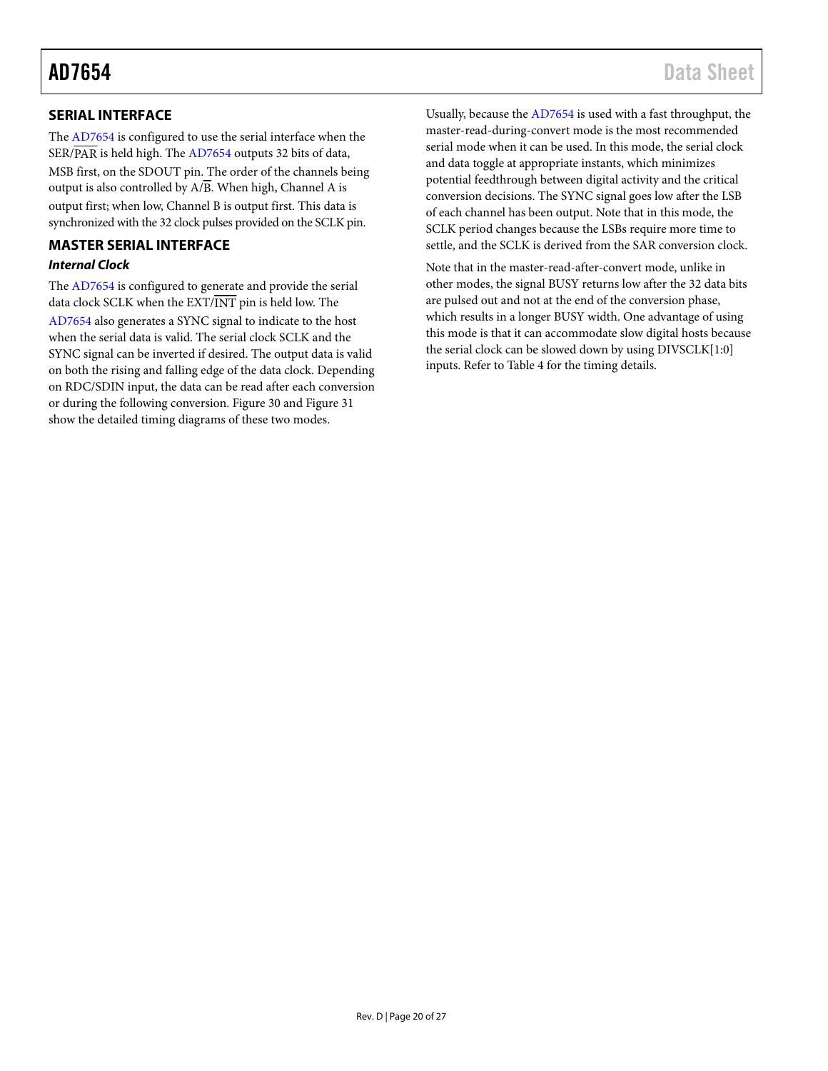# <span id="page-19-0"></span>**SERIAL INTERFACE**

The [AD7654 i](http://analog.com/ad7654?doc=ad7654.pdf)s configured to use the serial interface when the SER/PAR is held high. Th[e AD7654](http://analog.com/ad7654?doc=ad7654.pdf) outputs 32 bits of data, MSB first, on the SDOUT pin. The order of the channels being output is also controlled by  $A/B$ . When high, Channel A is output first; when low, Channel B is output first. This data is synchronized with the 32 clock pulses provided on the SCLK pin.

# <span id="page-19-1"></span>**MASTER SERIAL INTERFACE Internal Clock**

The [AD7654 i](http://analog.com/ad7654?doc=ad7654.pdf)s configured to generate and provide the serial data clock SCLK when the EXT/INT pin is held low. The [AD7654 a](http://analog.com/ad7654?doc=ad7654.pdf)lso generates a SYNC signal to indicate to the host when the serial data is valid. The serial clock SCLK and the SYNC signal can be inverted if desired. The output data is valid on both the rising and falling edge of the data clock. Depending on RDC/SDIN input, the data can be read after each conversion or during the following conversion. [Figure 30 a](#page-20-0)n[d Figure 31](#page-20-1)  show the detailed timing diagrams of these two modes.

Usually, because the [AD7654 i](http://analog.com/ad7654?doc=ad7654.pdf)s used with a fast throughput, the master-read-during-convert mode is the most recommended serial mode when it can be used. In this mode, the serial clock and data toggle at appropriate instants, which minimizes potential feedthrough between digital activity and the critical conversion decisions. The SYNC signal goes low after the LSB of each channel has been output. Note that in this mode, the SCLK period changes because the LSBs require more time to settle, and the SCLK is derived from the SAR conversion clock.

Note that in the master-read-after-convert mode, unlike in other modes, the signal BUSY returns low after the 32 data bits are pulsed out and not at the end of the conversion phase, which results in a longer BUSY width. One advantage of using this mode is that it can accommodate slow digital hosts because the serial clock can be slowed down by using DIVSCLK[1:0] inputs. Refer t[o Table 4 f](#page-5-0)or the timing details.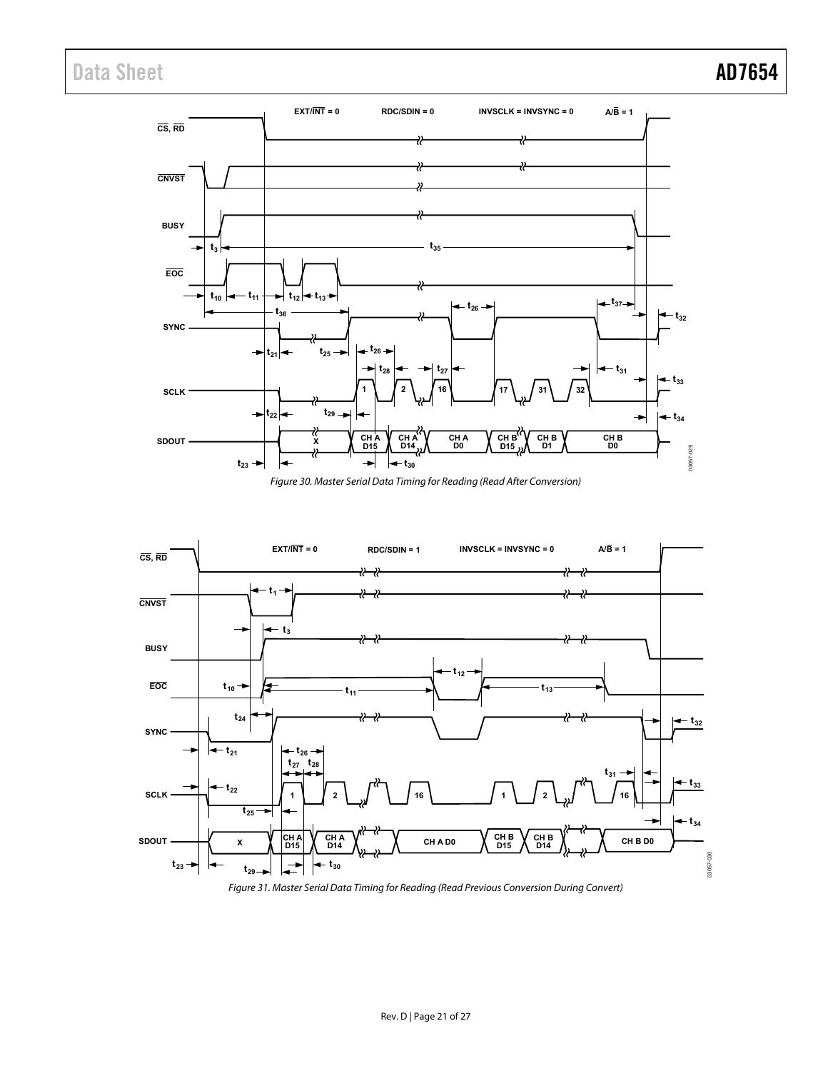



<span id="page-20-0"></span>

<span id="page-20-1"></span>Figure 31. Master Serial Data Timing for Reading (Read Previous Conversion During Convert)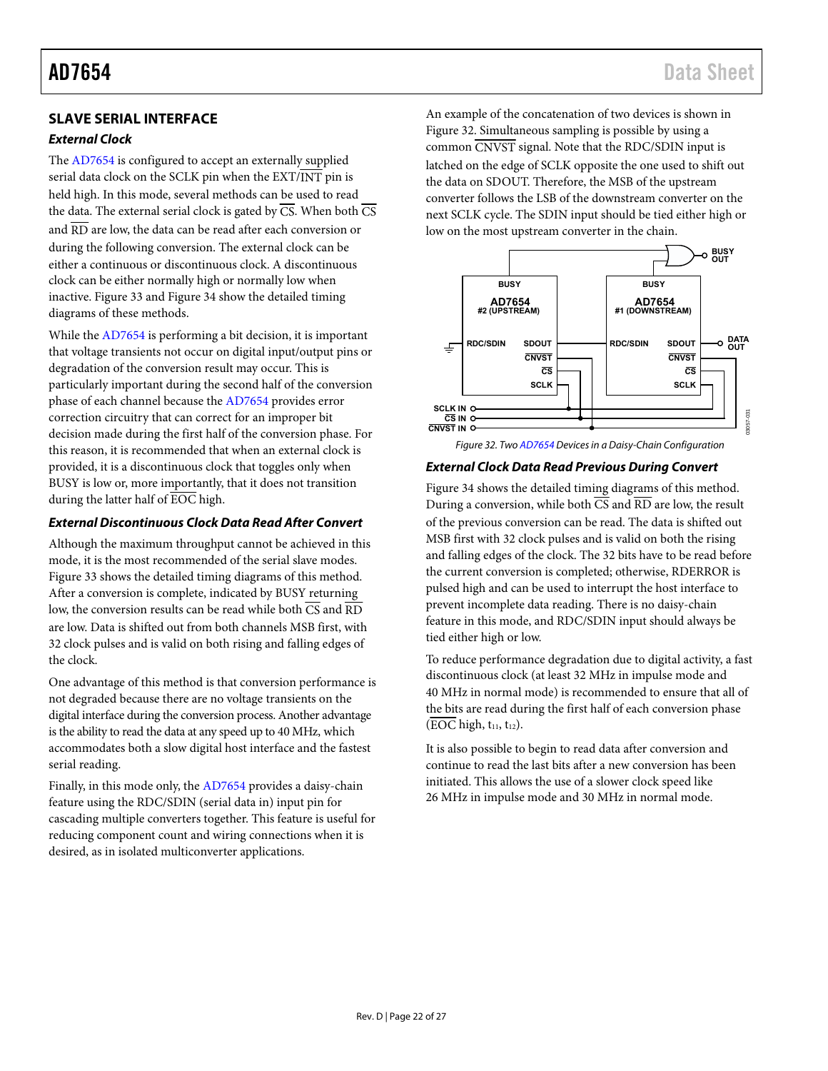# AD7654 Data Sheet

# <span id="page-21-0"></span>**SLAVE SERIAL INTERFACE**

## **External Clock**

The [AD7654 i](http://analog.com/ad7654?doc=ad7654.pdf)s configured to accept an externally supplied serial data clock on the SCLK pin when the EXT/INT pin is held high. In this mode, several methods can be used to read the data. The external serial clock is gated by  $\overline{CS}$ . When both  $\overline{CS}$ and  $\overline{RD}$  are low, the data can be read after each conversion or during the following conversion. The external clock can be either a continuous or discontinuous clock. A discontinuous clock can be either normally high or normally low when inactive. [Figure 33 a](#page-22-0)n[d Figure 34 s](#page-22-1)how the detailed timing diagrams of these methods.

While th[e AD7654 i](http://analog.com/ad7654?doc=ad7654.pdf)s performing a bit decision, it is important that voltage transients not occur on digital input/output pins or degradation of the conversion result may occur. This is particularly important during the second half of the conversion phase of each channel because the [AD7654 p](http://analog.com/ad7654?doc=ad7654.pdf)rovides error correction circuitry that can correct for an improper bit decision made during the first half of the conversion phase. For this reason, it is recommended that when an external clock is provided, it is a discontinuous clock that toggles only when BUSY is low or, more importantly, that it does not transition during the latter half of EOC high.

## **External Discontinuous Clock Data Read After Convert**

Although the maximum throughput cannot be achieved in this mode, it is the most recommended of the serial slave modes. [Figure 33 s](#page-22-0)hows the detailed timing diagrams of this method. After a conversion is complete, indicated by BUSY returning low, the conversion results can be read while both  $\overline{\text{CS}}$  and  $\overline{\text{RD}}$ are low. Data is shifted out from both channels MSB first, with 32 clock pulses and is valid on both rising and falling edges of the clock.

One advantage of this method is that conversion performance is not degraded because there are no voltage transients on the digital interface during the conversion process. Another advantage is the ability to read the data at any speed up to 40 MHz, which accommodates both a slow digital host interface and the fastest serial reading.

Finally, in this mode only, the [AD7654 p](http://analog.com/ad7654?doc=ad7654.pdf)rovides a daisy-chain feature using the RDC/SDIN (serial data in) input pin for cascading multiple converters together. This feature is useful for reducing component count and wiring connections when it is desired, as in isolated multiconverter applications.

An example of the concatenation of two devices is shown in [Figure 32.](#page-21-1) Simultaneous sampling is possible by using a common CNVST signal. Note that the RDC/SDIN input is latched on the edge of SCLK opposite the one used to shift out the data on SDOUT. Therefore, the MSB of the upstream converter follows the LSB of the downstream converter on the next SCLK cycle. The SDIN input should be tied either high or low on the most upstream converter in the chain.



<span id="page-21-1"></span>Figure 32. Tw[o AD7654 D](http://analog.com/ad7654?doc=ad7654.pdf)evices in a Daisy-Chain Configuration

### **External Clock Data Read Previous During Convert**

[Figure 34 s](#page-22-1)hows the detailed timing diagrams of this method. During a conversion, while both  $\overline{CS}$  and  $\overline{RD}$  are low, the result of the previous conversion can be read. The data is shifted out MSB first with 32 clock pulses and is valid on both the rising and falling edges of the clock. The 32 bits have to be read before the current conversion is completed; otherwise, RDERROR is pulsed high and can be used to interrupt the host interface to prevent incomplete data reading. There is no daisy-chain feature in this mode, and RDC/SDIN input should always be tied either high or low.

To reduce performance degradation due to digital activity, a fast discontinuous clock (at least 32 MHz in impulse mode and 40 MHz in normal mode) is recommended to ensure that all of the bits are read during the first half of each conversion phase  $(EOC high, t<sub>11</sub>, t<sub>12</sub>).$ 

It is also possible to begin to read data after conversion and continue to read the last bits after a new conversion has been initiated. This allows the use of a slower clock speed like 26 MHz in impulse mode and 30 MHz in normal mode.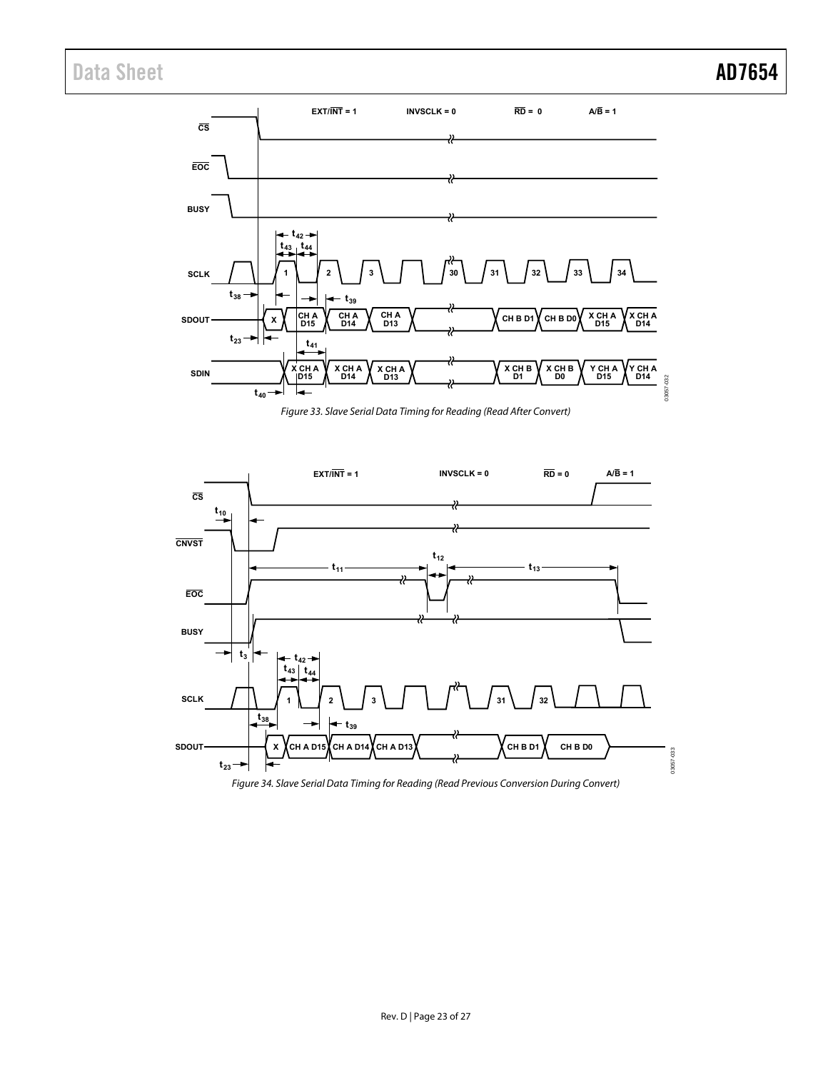

Figure 33. Slave Serial Data Timing for Reading (Read After Convert)

<span id="page-22-0"></span>

<span id="page-22-1"></span>Figure 34. Slave Serial Data Timing for Reading (Read Previous Conversion During Convert)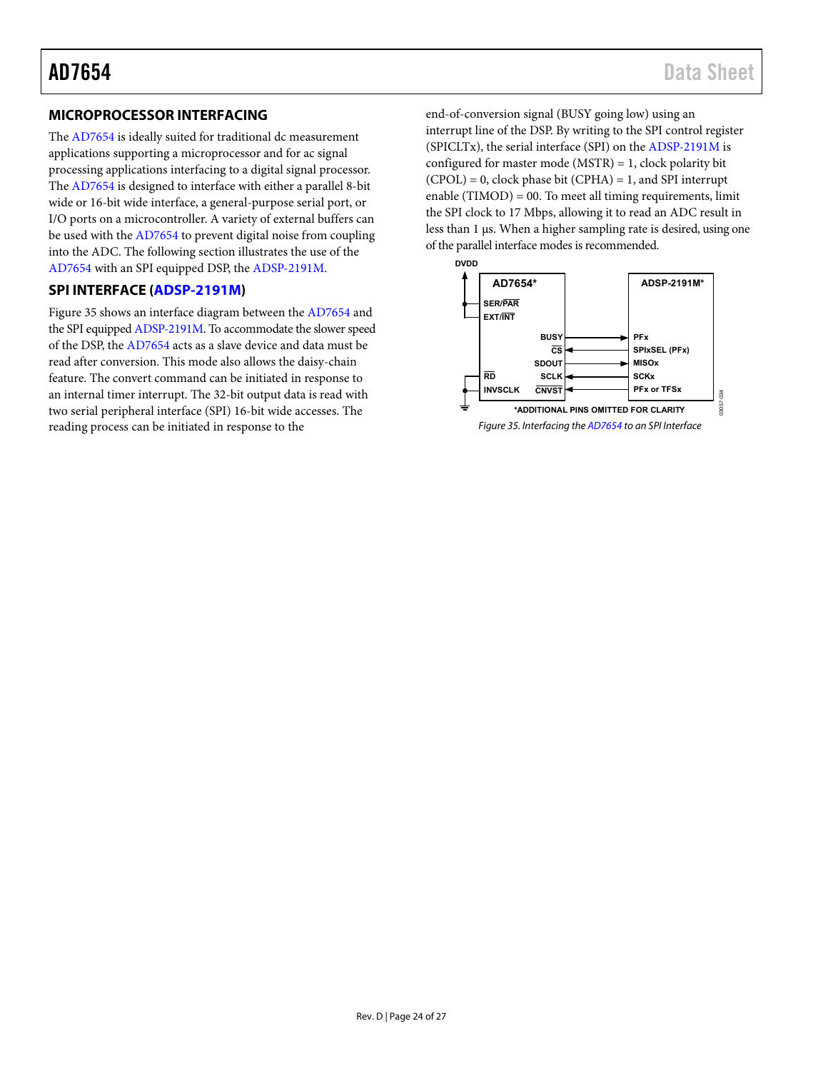# <span id="page-23-0"></span>**MICROPROCESSOR INTERFACING**

The [AD7654 i](http://analog.com/ad7654?doc=ad7654.pdf)s ideally suited for traditional dc measurement applications supporting a microprocessor and for ac signal processing applications interfacing to a digital signal processor. The [AD7654 i](http://analog.com/ad7654?doc=ad7654.pdf)s designed to interface with either a parallel 8-bit wide or 16-bit wide interface, a general-purpose serial port, or I/O ports on a microcontroller. A variety of external buffers can be used with th[e AD7654](http://analog.com/ad7654?doc=ad7654.pdf) to prevent digital noise from coupling into the ADC. The following section illustrates the use of the [AD7654 w](http://analog.com/ad7654?doc=ad7654.pdf)ith an SPI equipped DSP, the [ADSP-2191M.](http://analog.com/ADSP-2191M?doc=ad7654.pdf)

# <span id="page-23-1"></span>**SPI INTERFACE [\(ADSP-2191M\)](http://analog.com/ADSP-2191M?doc=ad7654.pdf)**

[Figure 35 s](#page-23-2)hows an interface diagram between th[e AD7654](http://analog.com/ad7654?doc=ad7654.pdf) and the SPI equippe[d ADSP-2191M.](http://analog.com/ADSP-2191M?doc=ad7654.pdf) To accommodate the slower speed of the DSP, the [AD7654 a](http://analog.com/ad7654?doc=ad7654.pdf)cts as a slave device and data must be read after conversion. This mode also allows the daisy-chain feature. The convert command can be initiated in response to an internal timer interrupt. The 32-bit output data is read with two serial peripheral interface (SPI) 16-bit wide accesses. The reading process can be initiated in response to the

end-of-conversion signal (BUSY going low) using an interrupt line of the DSP. By writing to the SPI control register (SPICLTx), the serial interface (SPI) on th[e ADSP-2191M i](http://analog.com/ADSP-2191M?doc=ad7654.pdf)s configured for master mode (MSTR) = 1, clock polarity bit  $(CPOL) = 0$ , clock phase bit  $(CPHA) = 1$ , and SPI interrupt enable  $(TIMOD) = 00$ . To meet all timing requirements, limit the SPI clock to 17 Mbps, allowing it to read an ADC result in less than 1 μs. When a higher sampling rate is desired, using one of the parallel interface modes is recommended.

<span id="page-23-2"></span>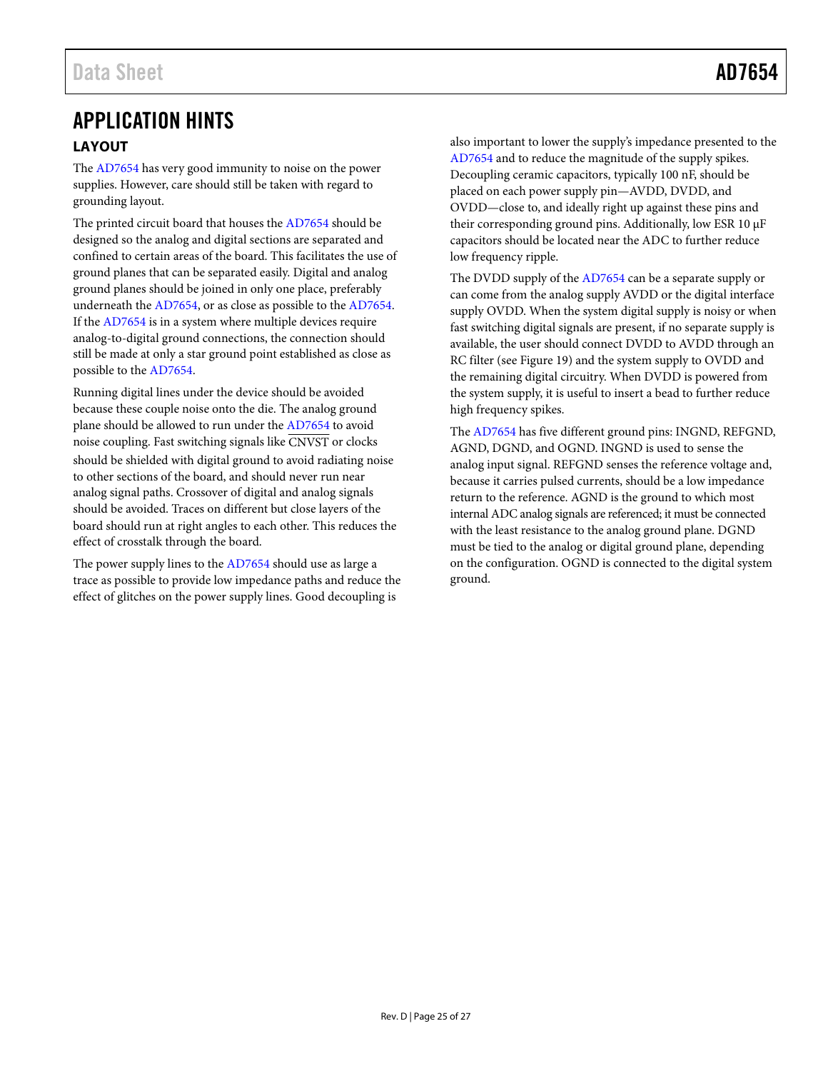# <span id="page-24-0"></span>APPLICATION HINTS **LAYOUT**

<span id="page-24-1"></span>The [AD7654 h](http://analog.com/ad7654?doc=ad7654.pdf)as very good immunity to noise on the power supplies. However, care should still be taken with regard to grounding layout.

The printed circuit board that houses th[e AD7654 s](http://analog.com/ad7654?doc=ad7654.pdf)hould be designed so the analog and digital sections are separated and confined to certain areas of the board. This facilitates the use of ground planes that can be separated easily. Digital and analog ground planes should be joined in only one place, preferably underneath th[e AD7654,](http://analog.com/ad7654?doc=ad7654.pdf) or as close as possible to the [AD7654.](http://analog.com/ad7654?doc=ad7654.pdf)  If th[e AD7654](http://analog.com/ad7654?doc=ad7654.pdf) is in a system where multiple devices require analog-to-digital ground connections, the connection should still be made at only a star ground point established as close as possible to th[e AD7654.](http://analog.com/ad7654?doc=ad7654.pdf) 

Running digital lines under the device should be avoided because these couple noise onto the die. The analog ground plane should be allowed to run under the [AD7654](http://analog.com/ad7654?doc=ad7654.pdf) to avoid noise coupling. Fast switching signals like CNVST or clocks should be shielded with digital ground to avoid radiating noise to other sections of the board, and should never run near analog signal paths. Crossover of digital and analog signals should be avoided. Traces on different but close layers of the board should run at right angles to each other. This reduces the effect of crosstalk through the board.

The power supply lines to the [AD7654 s](http://analog.com/ad7654?doc=ad7654.pdf)hould use as large a trace as possible to provide low impedance paths and reduce the effect of glitches on the power supply lines. Good decoupling is

also important to lower the supply's impedance presented to the [AD7654 a](http://analog.com/ad7654?doc=ad7654.pdf)nd to reduce the magnitude of the supply spikes. Decoupling ceramic capacitors, typically 100 nF, should be placed on each power supply pin—AVDD, DVDD, and OVDD—close to, and ideally right up against these pins and their corresponding ground pins. Additionally, low ESR 10 μF capacitors should be located near the ADC to further reduce low frequency ripple.

The DVDD supply of th[e AD7654 c](http://analog.com/ad7654?doc=ad7654.pdf)an be a separate supply or can come from the analog supply AVDD or the digital interface supply OVDD. When the system digital supply is noisy or when fast switching digital signals are present, if no separate supply is available, the user should connect DVDD to AVDD through an RC filter (see [Figure 19\)](#page-14-0) and the system supply to OVDD and the remaining digital circuitry. When DVDD is powered from the system supply, it is useful to insert a bead to further reduce high frequency spikes.

The [AD7654 h](http://analog.com/ad7654?doc=ad7654.pdf)as five different ground pins: INGND, REFGND, AGND, DGND, and OGND. INGND is used to sense the analog input signal. REFGND senses the reference voltage and, because it carries pulsed currents, should be a low impedance return to the reference. AGND is the ground to which most internal ADC analog signals are referenced; it must be connected with the least resistance to the analog ground plane. DGND must be tied to the analog or digital ground plane, depending on the configuration. OGND is connected to the digital system ground.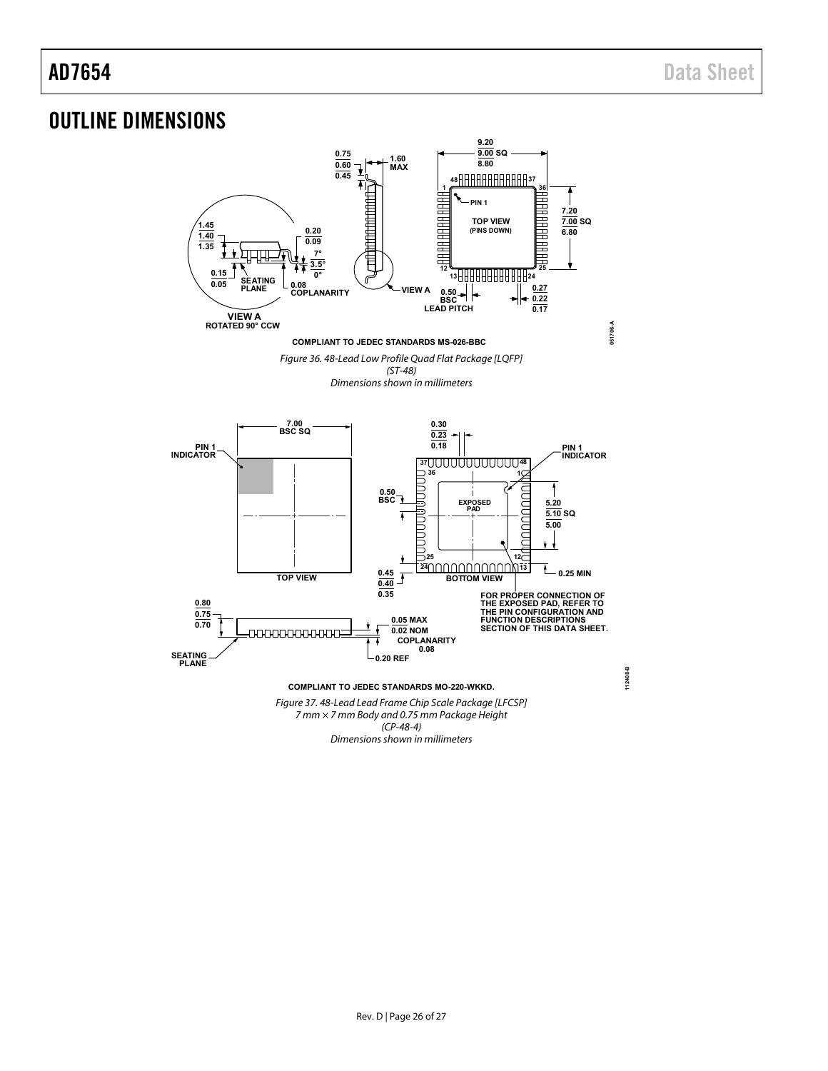# <span id="page-25-0"></span>OUTLINE DIMENSIONS



Dimensions shown in millimeters